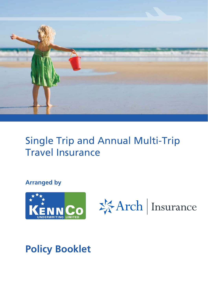

# Single Trip Single Trip and Annual Multi-Trip Travel Insurance

# **Arranged by**





# **Policy Booklet Policy Booklet**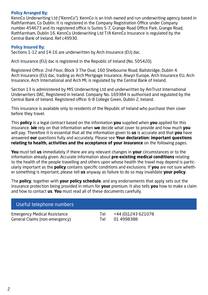## **Policy Arranged By;**

KennCo Underwriting Ltd ("KennCo"). KennCo is an Irish owned and run underwriting agency based in Rathfarnham, Co Dublin. It is registered in the Company Registration Office under Company number 454673 and its registered office is Suites 5-7, Grange Road Office Park, Grange Road, Rathfarnham, Dublin 16. KennCo Underwriting Ltd T/A KennCo Insurance is regulated by the Central Bank of Ireland. Ref c49930.

## **Policy Insured By;**

Sections 1-12 and 14-16 are underwritten by Arch Insurance (EU) dac.

Arch Insurance (EU) dac is registered in the Republic of Ireland (No. 505420).

Registered Office: 2nd Floor, Block 3 The Oval, 160 Shelbourne Road, Ballsbridge, Dublin 4. Arch Insurance (EU) dac, trading as Arch Mortgage Insurance, Alwyn Europe, Arch Insurance EU, Arch Insurance, Arch International and Arch MI, is regulated by the Central Bank of Ireland.

Section 13 is administered by MIS Underwriting Ltd and underwritten by AmTrust International Underwriters DAC, Registered in Ireland. Company No. 169384 is authorised and regulated by the Central Bank of Ireland. Registered office: 6-8 College Green, Dublin 2, Ireland.

This insurance is available only to residents of the Republic of Ireland who purchase their cover before they travel.

This **policy** is a legal contract based on the information **you** supplied when **you** applied for this insurance. **We** rely on that information when **we** decide what cover to provide and how much **you**  will pay. Therefore it is essential that all the information given to **us** is accurate and that **you** have answered **our** questions fully and accurately. Please see **Your declaration: important questions relating to health, activities and the acceptance of your insurance** on the following pages.

**You** must tell **us** immediately if there are any relevant changes in **your** circumstances or to the information already given. Accurate information about **pre-existing medical conditions** relating to the health of the people travelling and others upon whose health the travel may depend is particularly important as the **policy** contains specific conditions and exclusions. If **you** are not sure whether something is important, please tell **us** anyway as failure to do so may invalidate **your policy**.

The **policy**, together with **your policy schedule**, and any endorsements that apply sets out the insurance protection being provided in return for **your** premium. It also tells **you** how to make a claim and how to contact **us**. **You** must read all of these documents carefully.

# Useful telephone numbers

Emergency Medical Assistance Tel +44 (0)1243 621078 General Claims (non-emergency) Tel 01 4998388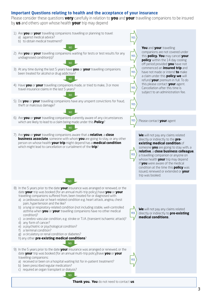## **Important Questions relating to health and the acceptance of your insurance**

Please consider these questions **very** carefully in relation to **you** and **your** travelling companions to be insured by **us** and others upon whose health **your** trip may depend

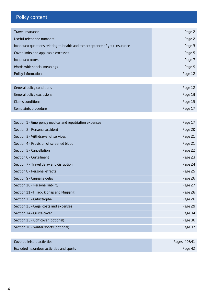# Policy content

| <b>Travel Insurance</b>                                                     | Page 2  |
|-----------------------------------------------------------------------------|---------|
| Useful telephone numbers                                                    | Page 2  |
| Important questions relating to health and the acceptance of your insurance | Page 3  |
| Cover limits and applicable excesses                                        | Page 5  |
| Important notes                                                             | Page 7  |
| Words with special meanings                                                 | Page 9  |
| Policy information                                                          | Page 12 |

| General policy conditions | Page 12 |
|---------------------------|---------|
| General policy exclusions | Page 13 |
| Claims conditions         | Page 15 |
| Complaints procedure      | Page 17 |

| Section 1 - Emergency medical and repatriation expenses | Page 17 |
|---------------------------------------------------------|---------|
| Section 2 - Personal accident                           | Page 20 |
| Section 3 - Withdrawal of services                      | Page 21 |
| Section 4 - Provision of screened blood                 | Page 21 |
| Section 5 - Cancellation                                | Page 22 |
| Section 6 - Curtailment                                 | Page 23 |
| Section 7 - Travel delay and disruption                 | Page 24 |
| Section 8 - Personal effects                            | Page 25 |
| Section 9 - Luggage delay                               | Page 26 |
| Section 10 - Personal liability                         | Page 27 |
| Section 11 - Hijack, kidnap and Mugging                 | Page 28 |
| Section 12 - Catastrophe                                | Page 28 |
| Section 13 - Legal costs and expenses                   | Page 29 |
| Section 14 - Cruise cover                               | Page 34 |
| Section 15 - Golf cover (optional)                      | Page 36 |
| Section 16 - Winter sports (optional)                   | Page 37 |

| Covered leisure activities               | Pages 40&41 |
|------------------------------------------|-------------|
| Excluded hazardous activities and sports | Page 42     |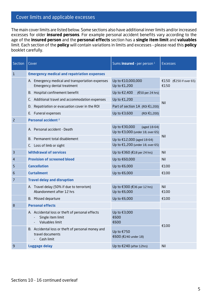# Cover limits and applicable excesses

The main cover limits are listed below. Some sections also have additional inner limits and/or increased excesses for older **insured persons**. For example personal accident benefits vary according to the age of the **insured person** and the **personal effects** section has a **single item limit** and **valuables** limit. Each section of the **policy** will contain variations in limits and excesses – please read this **policy**  booklet carefully.

| <b>Section</b> | Cover                                                                                                     | Sums <b>insured</b> - per person <sup>1</sup>                     | <b>Excesses</b>                |  |
|----------------|-----------------------------------------------------------------------------------------------------------|-------------------------------------------------------------------|--------------------------------|--|
| $\mathbf{1}$   | <b>Emergency medical and repatriation expenses</b>                                                        |                                                                   |                                |  |
|                | A. Emergency medical and transportation expenses<br>Emergency dental treatment                            | Up to €10,000,000<br>Up to €1,200                                 | €150 (€250 if over 65)<br>€150 |  |
|                | B. Hospital confinement benefit                                                                           | Up to €2,400<br>(€50 per 24 hrs)                                  |                                |  |
|                | C. Additional travel and accommodation expenses                                                           | Up to €1,200                                                      | Nil                            |  |
|                | D. Repatriation or evacuation cover in the ROI                                                            | Part of section 1A (ROI €1,200)                                   |                                |  |
|                | E. Funeral expenses                                                                                       | Up to €3,600<br>(ROI €1,200)                                      |                                |  |
| $\overline{c}$ | Personal accident <sup>2</sup>                                                                            |                                                                   |                                |  |
|                | A. Personal accident - Death                                                                              | Up to €30,000<br>(aged 18-64)<br>Up to €3,000 (under 18, over 65) |                                |  |
|                | B. Permanent total disablement                                                                            | Up to €12,000 (aged 18-64)                                        | <b>Nil</b>                     |  |
|                | C. Loss of limb or sight                                                                                  | Up to €1,200 (under 18, over 65)                                  |                                |  |
| З              | <b>Withdrawal of services</b>                                                                             | Up to €360 (€18 per 24 hrs)                                       | Nil                            |  |
| 4              | <b>Provision of screened blood</b>                                                                        | Up to €60,000                                                     | Nil                            |  |
| 5              | <b>Cancellation</b>                                                                                       | Up to €6,000                                                      | €100                           |  |
| 6              | <b>Curtailment</b>                                                                                        | Up to €6,000                                                      | €100                           |  |
| 7              | <b>Travel delay and disruption</b>                                                                        |                                                                   |                                |  |
|                | A. Travel delay (50% if due to terrorism)<br>Abandonment after 12 hrs                                     | Up to €300 (€36 per 12 hrs)<br>Up to €6,000                       | Nil<br>£100                    |  |
|                | B. Missed departure                                                                                       | Up to €6,000                                                      | €100                           |  |
| 8              | <b>Personal effects</b>                                                                                   |                                                                   |                                |  |
|                | A. Accidental loss or theft of personal effects<br>Single item limit<br>$\overline{a}$<br>Valuables limit | Up to €3,000<br>€600<br>€600                                      | €100                           |  |
|                | B. Accidental loss or theft of personal money and<br>travel documents<br>Cash limit                       | Up to €750<br>€600 (€240 under 18)                                |                                |  |
| 9              | <b>Luggage delay</b>                                                                                      | Up to €240 (after 12hrs)                                          | Nil                            |  |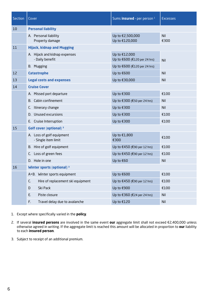| <b>Section</b> | Cover                                            | Sums insured - per person <sup>1</sup>        | <b>Excesses</b>    |
|----------------|--------------------------------------------------|-----------------------------------------------|--------------------|
| 10             | <b>Personal liability</b>                        |                                               |                    |
|                | A. Personal liability<br>Property damage         | Up to €2,500,000<br>Up to €120,000            | <b>Nil</b><br>€300 |
| 11             | <b>Hijack, kidnap and Mugging</b>                |                                               |                    |
|                | A. Hijack and kidnap expenses<br>- Daily benefit | Up to €12,000<br>Up to €600 (€120 per 24 hrs) | Nil                |
|                | <b>B.</b> Mugging                                | Up to €600 (€120 per 24 hrs)                  |                    |
| 12             | <b>Catastrophe</b>                               | Up to €600                                    | <b>Nil</b>         |
| 13             | <b>Legal costs and expenses</b>                  | Up to €30,000                                 | <b>Nil</b>         |
| 14             | <b>Cruise Cover</b>                              |                                               |                    |
|                | A. Missed port departure                         | Up to €300                                    | €100               |
|                | B. Cabin confinement                             | Up to €300 (€50 per 24 hrs)                   | Nil                |
|                | C. Itinerary change                              | Up to €300                                    | <b>Nil</b>         |
|                | D. Unused excursions                             | Up to €300                                    | €100               |
|                | E. Cruise Interruption                           | Up to €300                                    | €100               |
| 15             | Golf cover (optional) <sup>3</sup>               |                                               |                    |
|                | A. Loss of golf equipment<br>- Single item limit | Up to €1,800<br>€300                          | €100               |
|                | B. Hire of golf equipment                        | Up to €450 (€90 per 12 hrs)                   | €100               |
|                | C. Loss of green fees                            | Up to €450 (€90 per 12 hrs)                   | €100               |
|                | D. Hole in one                                   | Up to €60                                     | Nil                |
| 16             | <b>Winter sports (optional) 3</b>                |                                               |                    |
|                | A+B. Winter sports equipment                     | Up to €600                                    | €100               |
|                | Hire of replacement ski equipment<br>C.          | Up to €450 (€90 per 12 hrs)                   | €100               |
|                | Ski Pack<br>D                                    | Up to €900                                    | €100               |
|                | E.<br>Piste closure                              | Up to €360 (€24 per 24 hrs)                   | <b>Nil</b>         |
|                | F.<br>Travel delay due to avalanche              | Up to €120                                    | Nil                |

- 1. Except where specifically varied in the **policy**.
- 2. If several **insured persons** are involved in the same event **our** aggregate limit shall not exceed €2,400,000 unless otherwise agreed in writing. If the aggregate limit is reached this amount will be allocated in proportion to **our** liability to each **insured person**.
- 3. Subject to receipt of an additional premium.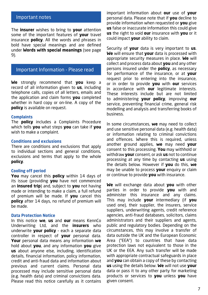## Important notes

The **insurer** wishes to bring to **your** attention some of the important features of **your** travel insurance **policy**. All the words and phrases in bold have special meanings and are defined under **Words with special meanings** (see page 9).

# Important Information - Please read

**We** strongly recommend that **you** keep a record of all information given to **us**, including telephone calls, copies of all letters, emails and the application and claim forms **you** completed whether in hard copy or on-line. A copy of the **policy** is available on request.

#### **Complaints**

The **policy** includes a Complaints Procedure which tells **you** what steps **you** can take if **you** wish to make a complaint.

## **Conditions and exclusions**

There are conditions and exclusions that apply to individual sections and general conditions, exclusions and terms that apply to the whole **policy**.

#### **Cooling off period**

**You** may cancel this **policy** within 14 days of its issue (providing **you** have not commenced an **insured trip**) and, subject to **you** not having made or intending to make a claim, a full refund of premium will be made. If **you** cancel this **policy** after 14 days, no refund of premium will be made.

#### **Data Protection Notice**

In this notice **we**, **us** and **our** means KennCo Underwriting Ltd, and the **insurers** who underwrite **your policy** – each a separate data controller in respect of **your** personal data. **Your** personal data means any information **we** hold about **you**, and any information **you** give **us** about anyone else, including, identification details, financial information, policy information, credit and anti-fraud data and information about previous and current claims. Personal data processed may include sensitive personal data (e.g. health data) and criminal convictions data. Please read this notice carefully as it contains

important information about **our** use of **your** personal data. Please note that if **you** decline to provide information when requested or **you** give **us** false or inaccurate information this could give **us** the right to void **our** insurance with **you** or it could impact **your** ability to claim.

Security of **your** data is very important to **us**. **We** will ensure that **your** data is processed with appropriate security measures in place. **We** will collect and process data about **you** and any other persons insured under the **policy**, as necessary for performance of the insurance, or at **your** request prior to entering into the insurance, or in order to provide **you** with **our** services in accordance with **our** legitimate interests. These interests include but are not limited to administering **your policy**, improving **our** service, preventing financial crime, general risk modelling and analysis and transferring books of business.

In some circumstances, **we** may need to collect and use sensitive personal data (e.g. health data) or information relating to criminal convictions and offences. Where this is required, unless another ground applies, **we** may need **your** consent to this processing. **You** may withhold or withdraw **your** consent, or ask **us** not to continue processing at any time by contacting **us** using the details below. However if **you** do this, **we** may be unable to process **your** enquiry or claim or continue to provide **you** with insurance.

**We** will exchange data about **you** with other parties in order to provide **you** with and administer this insurance and any claims. This may include **your** intermediary (if **you** used one), their supplier, the insurers, service suppliers, underwriting agents, credit reference agencies, anti-fraud databases, solicitors, claims administrators and their suppliers and agents, public and regulatory bodies. Depending on the circumstances, this may involve a transfer of data outside the UK and the European Economic Area ("EEA") to countries that have data protection laws not equivalent to those in the UK or the EEA. Any such transfer will be made with appropriate contractual safeguards in place and **you** can obtain a copy of these by contacting **us** using the details below. **We** will not use **your** data or pass it to any other party for marketing products or services to **you** unless **you** have given consent.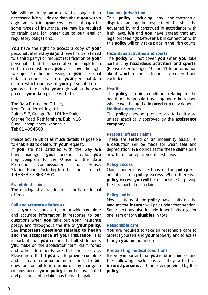**We** will not keep **your** data for longer than necessary, **We** will delete data about **you** within eight years after **your** cover ends, though for some types of insurance, **we** may be required to retain data for longer due to **our** legal or regulatory obligations.

**You** have the right to access a copy of **your** personal data held by **us** (and have this transferred to a third party) or request rectification of **your** personal data if it is inaccurate or incomplete. In certain circumstances, **you** also have the right to object to the processing of **your** personal data, to request erasure of **your** personal data or to restrict **our** use of **your** personal data. If **you** wish to exercise **your** rights about how **we** process **your** data please write to:

The Data Protection Officer, KennCo Underwriting Ltd. Suites 5-7, Grange Road Office Park, Grange Road, Rathfarnham, Dublin 16 E-mail: compliance@kennco.ie Tel: 01 4994600

Please advise **us** of as much details as possible to enable **us** to deal with **your** request.

If **you** are not satisfied with the way **we** have managed **your** personal data, **you** may complain to the Office of the Data Protection Commissioner, Canal House, Station Road, Portarlington, Co. Laois, Ireland, Tel +353 57 868 4800.

## **Fraudulent claims**

The making of a fraudulent claim is a criminal offence.

## **Full and accurate disclosure**

It is **your** responsibility to provide complete and accurate information in response to **our**  questions when **you** take out **your** insurance policy, and throughout the life of **your policy**. See **important questions relating to health and the acceptance of your insurance**. It is important that **you** ensure that all statements **you** make on the application form, claim forms and other documents are full and accurate. Please note that if **you** fail to provide complete and accurate information in response to **our** questions or fail to inform **us** of any change in circumstances **your policy** may be invalidated and part or all of a claim may be not be paid.

## **Law and jurisdiction**

This **policy,** including any non-contractual disputes arising in respect of it, shall be governed by and construed in accordance with Irish laws. **We** and **you** have agreed that any legal proceedings between **us** in connection with this **policy** will only take place in the Irish courts.

## **Hazardous activities and sports**

The **policy** will not cover **you** when **you** take part in any **hazardous activities and sports**. (Please refer to pages 40 and 41 for information about which leisure activities are covered and excluded.)

## **Health**

The **policy** contains conditions relating to the health of the people travelling and others upon whose well-being the **insured trip** may depend. **Medical expenses**

This **policy** does not provide private healthcare unless specifically approved by the **assistance company**.

## **Personal effects claims**

These are settled on an indemnity basis: i.e. a deduction will be made for wear, tear and depreciation. **We** do not settle these claims on a new for old or replacement cost basis

## **Policy excess**

Claims under most sections of the **policy** will be subject to a **policy excess**. Where there is a **policy excess you** will be responsible for paying the first part of each claim.

## **Policy limits**

Most sections of the **policy** have limits on the amount the **insurer** will pay under that section. Some sections also include inner limits e.g. for one item or for **valuables** in total.

#### **Reasonable care**

**You** are required to take all reasonable care to protect yourself and **your** property and to act as though **you** are not insured.

## **Pre-existing medical conditions**

It is very important that **you** read and understand the following exclusions as they affect all **insured persons** and the cover provided by this **policy**.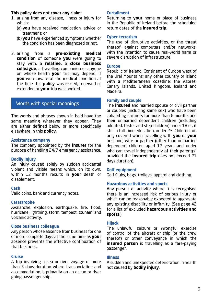## **This policy does not cover any claim:**

- 1. arising from any disease, illness or injury for which:
	- (a) **you** have received medication, advice or treatment; or
	- (b) **you** have experienced symptoms whether the condition has been diagnosed or not.
- 2. arising from a **pre-existing medical condition** of someone **you** were going to stay with, a **relative,** a **close business colleague**, a travelling companion or anyone on whose health **your** trip may depend, if **you** were aware of the medical condition at the time this **policy** was issued, renewed or extended or **your** trip was booked.

# Words with special meanings

The words and phrases shown in bold have the same meaning wherever they appear. They are either defined below or more specifically elsewhere in this **policy**.

## **Assistance company**

The company appointed by the **insurer** for the purpose of handling 24/7 emergency assistance.

## **Bodily injury**

An injury caused solely by sudden accidental violent and visible means which, on its own, within 12 months results in **your** death or disablement.

## **Cash**

Valid coins, bank and currency notes.

## **Catastrophe**

Avalanche, explosion, earthquake, fire, flood, hurricane, lightning, storm, tempest, tsunami and volcanic activity.

## **Close business colleague**

Any person whose absence from business for one or more complete days at the same time as **your** absence prevents the effective continuation of that business.

## **Cruise**

A trip involving a sea or river voyage of more than 3 days duration where transportation and accommodation is primarily on an ocean or river going passenger ship.

## **Curtailment**

Returning to **your** home or place of business in the Republic of Ireland before the scheduled return dates of the **insured trip**.

## **Cyber-terrorism**

The use of disruptive activities, or the threat thereof, against computers and/or networks, with the intention to cause real-world harm or severe disruption of infrastructure.

## **Europe**

Republic of Ireland; Continent of Europe west of the Ural Mountains; any other country or island with a Mediterranean coastline; the Azores, Canary Islands, United Kingdom, Iceland and Madeira.

## **Family and couple**

The **insured** and married spouse or civil partner or couples (including same sex) who have been cohabiting partners for more than 6 months and their unmarried dependent children (including adopted, foster and step-children) under 18 or, if still in full-time education, under 23. Children are only covered when travelling with **you** or **your** husband, wife or partner (other than unmarried dependent children aged 17 years and under who can travel independently of their parent(s) provided the **insured trip** does not exceed 21 days duration).

## **Golf equipment**

Golf Clubs, bags, trolleys, apparel and clothing.

## **Hazardous activities and sports**

Any pursuit or activity where it is recognised there is an increased risk of serious injury or which can be reasonably expected to aggravate any existing disability or infirmity. (See page 42 for a list of excluded **hazardous activities and sports**.)

## **Hijack**

The unlawful seizure or wrongful exercise of control of the aircraft or ship (or the crew thereof) or other conveyance in which the **insured person** is travelling as a fare-paying passenger.

## **Illness**

A sudden and unexpected deterioration in health not caused by **bodily injury**.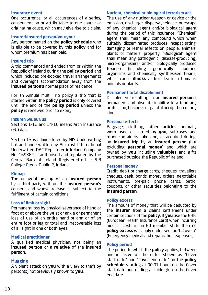#### **Insurance event**

One occurrence, or all occurrences of a series, consequent on or attributable to one source or originating cause, which may give rise to a claim.

## **Insured**/**insured person**/**you**/**your**

Any person named on the **policy schedule** who is eligible to be covered by this **policy** and for whom premium has been paid.

#### **Insured trip**

A trip commenced and ended from or within the Republic of Ireland during the **policy period** and which includes pre-booked travel arrangements and overnight accommodation away from the **insured person**'**s** normal place of residence.

For an Annual Multi Trip policy a trip that is started within the **policy period** is only covered until the end of the **policy period** unless the **policy** is renewed prior to expiry.

#### **Insurer**/**we**/**our**/**us**

Sections 1-12 and 14-16 means Arch Insurance (EU) dac.

Section 13 is administered by MIS Underwriting Ltd and underwritten by AmTrust International Underwriters DAC, Registered in Ireland. Company No. 169384 is authorised and regulated by the Central Bank of Ireland. Registered office: 6-8 College Green, Dublin 2, Ireland.

#### **Kidnap**

The unlawful holding of an **insured person** by a third party without the **insured person**'**s** consent and whose release is subject to the fulfilment of certain conditions.

## **Loss of limb or sight**

Permanent loss by physical severance of hand or foot at or above the wrist or ankle or permanent loss of use of an entire hand or arm or of an entire foot or leg or total and irrecoverable loss of all sight in one or both eyes.

#### **Medical practitioner**

A qualified medical physician, not being an **insured person** or a **relative** of the **insured person**.

## **Mugging**

A violent attack on **you** with a view to theft by person(s) not previously known to **you**.

#### **Nuclear, chemical or biological terrorism act**

The use of any nuclear weapon or device or the emission, discharge, dispersal, release, or escape of any chemical agent and/or biological agent during the period of this insurance. "Chemical" agent shall mean any compound which when suitably disseminated produces incapacitating, damaging or lethal effects on people, animals, plants or material property. "Biological" agent shall mean any pathogenic (disease-producing) micro-organism(s) and/or biologically produced toxin(s) (including genetically modified organisms and chemically synthesised toxins) which cause **illness** and/or death in humans, animals or plants.

#### **Permanent total disablement**

Disablement resulting in an **insured person**'**s** permanent and absolute inability to attend any profession, business or gainful occupation of any kind.

#### **Personal effects**

Baggage, clothing, other articles normally worn used or carried by **you**, suitcases and other containers taken on, or acquired during, an **insured trip** by an **insured person** (but excluding **personal money**) and which are owned by **you** including **valuables** and gifts purchased outside the Republic of Ireland.

#### **Personal money**

Credit, debit or charge cards, cheques, travellers cheques, **cash**, bonds, money orders, negotiable instruments, pre-paid phone cards, petrol coupons, or other securities belonging to the **insured person**.

#### **Policy excess**

The amount of money that will be deducted by the **insurer** from a claims settlement under certain sections of the **policy**. If **you** use the EHIC (European Health Insurance Card) when incurring medical costs in an EU member state then no **policy excess** will apply under Section 1, Cover A (Emergency medical and repatriation expenses).

## **Policy period**

The period to which the **policy** applies, between and inclusive of the dates shown as "Cover start date" and "Cover end date" on the **policy schedule** starting at 00.01 hours on the Cover start date and ending at midnight on the Cover end date.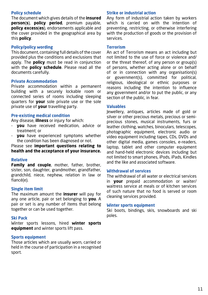## **Policy schedule**

The document which gives details of the **insured person**(**s**), **policy period**, premium payable, **policy excess**(**es**), endorsements applicable and the cover provided in the geographical area by this **policy**.

#### **Policy/policy wording**

This document, containing full details of the cover provided plus the conditions and exclusions that apply. The **policy** must be read in conjunction with the **policy schedule**. Please read all the documents carefully.

## **Private Accommodation**

Private accommodation within a permanent building with a securely lockable room or connected series of rooms including sleeping quarters for **your** sole private use or the sole private use of **your** travelling party.

#### **Pre-existing medical condition**

Any disease, **illness** or injury for which:

- **you** have received medication, advice or treatment; or
- **you** have experienced symptoms whether the condition has been diagnosed or not.

## Please see **important questions relating to health and the acceptance of your insurance.**

## **Relative**

**Family and couple**, mother, father, brother, sister, son, daughter, grandmother, grandfather, grandchild, niece, nephew, relation in law or fiancé(e).

## **Single item limit**

The maximum amount the **insurer** will pay for any one article, pair or set belonging to **you**. A pair or set is any number of items that belong together or can be used together.

## **Ski Pack**

Winter sports lessons, hired **winter sports equipment** and winter sports lift pass.

## **Sports equipment**

Those articles which are usually worn, carried or held in the course of participation in a recognised sport.

## **Strike or industrial action**

Any form of industrial action taken by workers which is carried on with the intention of preventing, restricting, or otherwise interfering with the production of goods or the provision of services.

#### **Terrorism**

An act of Terrorism means an act including but not limited to the use of force or violence and/ or the threat thereof, of any person or group(s) of persons, whether acting alone or on behalf of or in connection with any organisation(s) or government(s), committed for political, religious, ideological or ethnic purposes or reasons including the intention to influence any government and/or to put the public, or any section of the public, in fear.

## **Valuables**

Jewellery, antiques, articles made of gold or silver or other precious metals, precious or semiprecious stones, musical instruments, furs or leather clothing, watches, binoculars, telescopes, photographic equipment, electronic audio or video equipment including tapes, CDs, DVDs and other digital media, games consoles, e-readers, laptop, tablet and other computer equipment and hand-held electronic devices including but not limited to smart phones, iPods, iPads, Kindles and the like and associated software.

#### **Withdrawal of services**

The withdrawal of all water or electrical services in **your** prepaid accommodation or waiter/ waitress service at meals or of kitchen services of such nature that no food is served or room cleaning services provided.

#### **Winter sports equipment**

Ski boots, bindings, skis, snowboards and ski poles.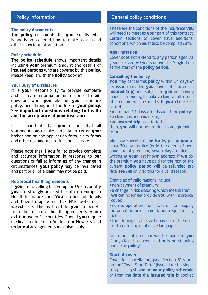# Policy information

#### **The policy documents**

The **policy** documents tell **you** exactly what is and is not covered, how to make a claim and other important information.

## **Policy schedule**

The **policy schedule** shows important details including **your** premium amount and details of **insured persons** who are covered by this **policy**. Please keep it with the **policy** booklet.

## **Your Duty of Disclosure**

It is **your** responsibility to provide complete and accurate information in response to **our** questions when **you** take out **your** insurance policy, and throughout the life of **your policy**. See **important questions relating to health and the acceptance of your insurance**.

It is important that **you** ensure that all statements **you** make verbally to **us** or **your** broker and on the application form, claim forms and other documents are full and accurate.

Please note that if **you** fail to provide complete and accurate information in response to **our** questions or fail to inform **us** of any change in circumstances, **your policy** may be invalidated and part or all of a claim may not be paid.

#### **Reciprocal health agreements**

If **you** are travelling to a European Union country **you** are strongly advised to obtain a European Health Insurance Card. **You** can find full details and how to apply on the HSE website at www.hse.ie. This will entitle **you** to benefit from the reciprocal health agreements, which exist between EU countries. Should **you** require medical treatment in Australia or New Zealand reciprocal arrangements may also apply.

# General policy conditions

These are the conditions of the insurance **you** will need to meet as **your** part of this contract. Certain sections of cover have additional conditions, which must also be complied with.

#### **Age limitation**

Cover does not extend to any person aged 71 years or over (80 years or over for Single Trip) at the start of the **policy period**.

#### **Cancelling the policy**

**You** may cancel this **policy** within 14 days of its issue (provided **you** have not started an **insured trip**) and, subject to **you** not having made or intending to make a claim, a full refund of premium will be made. If **you** choose to cancel

- **•** more than 14 days after issue of the **policy**;
- a claim has been made, or;
- an **insured trip** has started,

then, **you** will not be entitled to any premium refund.

**We** may cancel this **policy** by giving **you** at least 30 days' notice (or in the event of nonpayment of premium, seven days' notice) in writing at **your** last known address. If **we** do, the premium **you** have paid for the rest of the current **policy period** will be refunded pro rata. **We** will only do this for a valid reason.

Examples of valid reasons include:

- **•** non-payment of premium;
- a change in risk occuring which means that **we** can no longer provide **you** with insurance cover;
- non-co-operation or failure to supply information or documentation requested by **us**,
- threatening or abusive behaviour or the use of threatening or abusive language.

No refund of premium will be made to **you**  if any claim has been paid or is outstanding under the **policy**.

#### **Start of cover**

Cover for cancellation, (see Section 5) starts on the "Cover Start Date" (issue date for single trip policies) shown on **your policy schedule** or from the date the **insured trip** is booked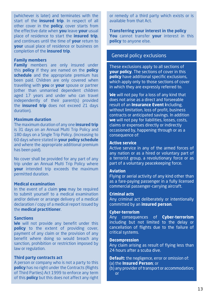(whichever is later) and terminates with the start of the **insured trip**. In respect of all other cover in the **policy**, cover starts from the effective date when **you** leave **your** usual place of residence to start the **insured trip**, and continues until the time of **your** return to **your** usual place of residence or business on completion of the **insured trip**.

## **Family members**

**Family** members are only insured under this **policy** if they are named on the **policy schedule** and the appropriate premium has been paid. Children are only covered when travelling with **you** or **your** spouse or partner (other than unmarried dependent children aged 17 years and under who can travel independently of their parent(s) provided the **insured trip** does not exceed 21 days duration).

#### **Maximum duration**

The maximum duration of any one **insured trip** is 31 days on an Annual Multi Trip Policy and 180 days on a Single Trip Policy. (increasing to 60 days where stated in **your policy schedule** and where the appropriate additional premium has been paid).

No cover shall be provided for any part of any trip under an Annual Multi Trip Policy where **your** intended trip exceeds the maximum permitted duration.

## **Medical examination**

In the event of a claim **you** may be required to submit yourself to a medical examination and/or deliver or arrange delivery of a medical declaration / copy of a medical report issued by the **medical practitioner**.

## **Sanctions**

**We** will not provide any benefit under this **policy** to the extent of providing cover, payment of any claim or the provision of any benefit where doing so would breach any sanction, prohibition or restriction imposed by law or regulation.

#### **Third party contracts act**

A person or company who is not a party to this **policy** has no right under the Contracts (Rights of Third Parties) Act 1999 to enforce any term of this **policy** but this does not affect any right

or remedy of a third party which exists or is available from that Act.

**Transferring your interest in the policy You** cannot transfer **your** interest in this **policy** to anyone else.

## General policy exclusions

These exclusions apply to all sections of **your policy**. The sections of cover in this **policy** have additional specific exclusions, which apply only to those sections of cover in which they are expressly referred to.

**We** will not pay for a loss of any kind that does not arise as a direct and forseeable result of an **Insurance Event i**ncluding, without limitation, loss of profit, business contracts or anticipated savings. In addition **we** will not pay for liabilities, losses, costs, claims or expenses directly or indirectly occasioned by, happening through or as a consequence of:

## **Active service**

Active service in any of the armed forces of any nation or as a hired or voluntary part of a terrorist group, a revolutionary force or as part of a voluntary peacekeeping force.

#### **Aviation**

Flying or aerial activity of any kind other than as a fare-paying passenger in a fully licensed commercial passenger-carrying aircraft.

#### **Criminal acts**

Any criminal act deliberately or intentionally committed by an **insured person**.

## **Cyber-terrorism**

Any consequences of **Cyber-terrorism** including but not limited to the delay or cancellation of flights due to the failure of critical systems.

#### **Decompression**

Any claim arising as result of flying less than 24 hours after a scuba dive.

**Default:** the negligence, error or omission of:

- (a) the **Insured Person**; or
- (b) any provider of transport or accommodation; or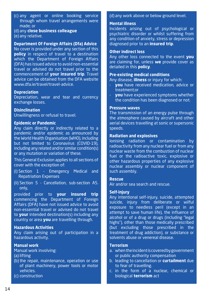- (c) any agent or online booking service through whom travel arrangements were made; or
- (d) any **close business colleague**
- (e) any relative.

## **Department Of Foreign Affairs (Dfa) Advice**

No cover is provided under any section of this **policy** in respect of travel to a destination which the Department of Foreign Affairs (DFA) has issued advice to avoid non-essential travel or advised do not travel prior to the commencement of **your insured trip**. Travel advice can be obtained from the DFA website www.dfa.ie/travel/travel-advice.

## **Depreciation**

Depreciation, wear and tear and currency exchange losses.

## **Disinclination**

Unwillingness or refusal to travel.

#### **Epidemic or Pandemic**

Any claim directly or indirectly related to a pandemic and/or epidemic as announced by the World Health Organisation (WHO), including but not limited to Coronavirus (COVID-19), including any related and/or similar condition(s) or any mutation or variation of these.

This General Exclusion applies to all sections of cover with the exception of:

- (i) Section 1 Emergency Medical and Repatriation Expenses
- (ii) Section 5 Cancellation, sub-section A5. only,

provided prior to **your insured trip** commencing the Department of Foreign Affairs (DFA) have not issued advice to avoid non-essential travel or advised do not travel to **your** intended destination(s) including any country or area **you** are travelling through.

## **Hazardous Activities**

Any claim arising out of participation in a hazardous activity.

#### **Manual work**

Manual work involving:

(a) lifting

- (b) the repair, maintenance, operation or use of plant machinery, power tools or motor vehicles.
- (c) construction

#### (d) any work above or below ground level.

## **Mental illness**

Incidents arising out of psychological or psychiatric disorder or whilst suffering from any condition of anxiety, stress or depression diagnosed prior to an **insured trip**.

## **Other indirect loss**

Any other loss connected to the event **you** are claiming for, unless **we** provide cover as detailed in this **policy**.

## **Pre-existing medical conditions**

Any disease, **illness** or injury for which:

- **you** have received medication, advice or treatment;or
- **vou** have experienced symptoms whether the condition has been diagnosed or not.

#### **Pressure waves**

The transmission of an energy pulse through the atmosphere caused by aircraft and other aerial devices travelling at sonic or supersonic speeds.

#### **Radiation and explosives**

Ionising radiation or contamination by radioactivity from any nuclear fuel or from any nuclear waste from the combustion of nuclear fuel or the radioactive toxic, explosive or other hazardous properties of any explosive nuclear assembly or nuclear component of such assembly.

#### **Rescue**

Air and/or sea search and rescue.

#### **Self-injury**

Any intentional self-injury, suicide, attempted suicide, injury from deliberate or wilful exposure to needless peril (except in an attempt to save human life), the influence of alcohol or of a drug or drugs (including "legal highs"), other than those medically prescribed (but excluding those prescribed in the treatment of drug addiction), or substance or solvents abuse or venereal disease.

## **Terrorism**

- a. when the incident is covered by government or public authority compensation
- b. leading to cancellation or **curtailment** due to fear of travelling.
- c. in the form of a nuclear, chemical or biological **terrorism** act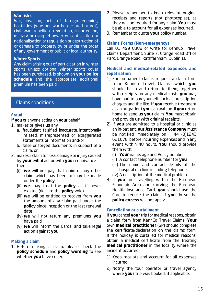#### **War risks**

War, invasion, acts of foreign enemies, hostilities (whether war be declared or not), civil war, rebellion, revolution, insurrection, military or usurped power or confiscation or nationalisation or requisition or destruction of or damage to property by or under the order of any government or public or local authority.

#### **Winter Sports**

Any claim arising out of participation in winter sports unless optional winter sports cover has been purchased, is shown on **your policy schedule** and the appropriate additional premium has been paid.

## Claims conditions

## **Fraud**

If **you** or anyone acting on **your** behalf

- 1. makes or gives **us** any
	- a. fraudulent, falsified, inaccurate, intentionally inflated, misrepresented or exaggerated statements or information and/or
	- b. false or forged documents in support of a claim, or
- 2. makes a claim for loss, damage or injury caused by **your** wilful act or with **your** connivance then
	- (i) **we** will not pay that claim or any other claim which has been or may be made under the **policy**
	- (ii) **we** may treat the **policy** as if never existed (declare the **policy** void)
	- (iii) **we** will be entitled to recover from **you** the amount of any claim paid under the **policy** since inception or the last renewal date
	- (iv) **we** will not return any premiums **you** have paid
	- (v) **we** will inform the Gardai and take legal action against **you**.

## **Making a claim**

1. Before making a claim, please check the **policy schedule** and **policy wording** to see whether **you** have cover.

- 2. Please remember to keep relevant original receipts and reports (not photocopies), as they will be required for any claim. **You** must be able to account for all expenses incurred.
- 3. Remember to quote **your** policy number.

## **Claims Forms (Non-emergency)**

Call 01 499 8388 or write to: KennCo Travel Claims Department, Suite 7, Grange Road Office Park, Grange Road, Rathfarnham, Dublin 16.

## **Medical and medical-related expenses and repatriation**

- 1) For outpatient claims request a claim form from KennCo Travel Claims, which **you** should fill in and return to them, together with receipts for any medical costs **you** may have had to pay yourself such as prescription charges and the like. If **you** receive treatment as an outpatient **you** can wait until **you** return home to send **us your** claim. **You** must obtain and provide **us** with original receipts.
- 2) If **you** are admitted to a hospital or clinic as an in-patient, **our Assistance Company** must be notified immediately on  $+$  44 (0)1243 621078, before incurring expenses and in any event within 48 hours. **You** should provide them with:
	- (i) **Your** name, age and Policy number
	- (ii) A contact telephone number for **you**
	- (iii) The name and contact details of the hospital or clinic including telephone
	- (iv) A description of the medical problem
- 3) If **you** are travelling within the European Economic Area and carrying the European Health Insurance Card, **you** should use the Card to reduce the claim. If **you** do so the **policy excess** will not apply.

## **Cancellation or curtailment**

If **you** cancel **your** trip for medical reasons, obtain a claim form from KennCo Travel Claims. **Your** own **medical practitioner** (GP) should complete the certificate/declaration on the claims form. If the holiday is curtailed for medical reasons, obtain a medical certificate from the treating **medical practitioner** in the locality where the incident occurred.

- 1) Keep receipts and account for all expenses incurred.
- 2) Notify the tour operator or travel agency where **your** trip was booked, if applicable.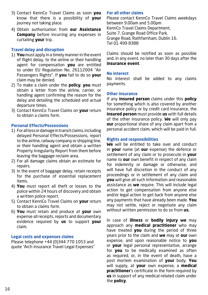- 3) Contact KennCo Travel Claims as soon **you** know that there is a possibility of **your** journey not taking place.
- 4) Obtain authorisation from **our Assistance Company** before incurring any expenses in curtailing **your** trip.

## **Travel delay and disruption**

- 1) **You** must apply in a timely manner in the event of flight delay, to the airline or their handling agent for compensation **you** are entitled to under EU Regulation No. 26112004 "Air Passengers Rights". If **you** fail to do so **your** claim may be denied.
- 2) To make a claim under the **policy**, **you** must obtain a letter from the airline, carrier, or handling agent confirming the reason for the delay and detailing the scheduled and actual departure times.
- 3) Contact KennCo Travel Claims on **your** return to obtain a claims form.

## **Personal Effects/Possessions**

- 1) For all loss or damage in transit claims, including delayed Personal Effects/Possessions, report to the airline, railway company or shipping line, or their handling agent and obtain a written Property Irregularity Report from them before leaving the baggage reclaim area.
- 2) For all damage claims obtain an estimate for repairs.
- 3) In the event of baggage delay, retain receipts for the purchase of essential replacement items.
- 4) **You** must report all theft or losses to the police within 24 hours of discovery and obtain a written police report.
- 5) Contact KennCo Travel Claims on **your** return to obtain a claims form.
- 6) **You** must retain and produce at **your** own expense all receipts, reports and documentary evidence required by **us** to support **your** claim.

## **Legal costs and expenses claims**

Please telephone +44 (0)344 770 1053 and quote "Arch Insurance Travel Legal Expenses"

## **For all other claims**

Please contact KennCo Travel Claims weekdays between 9.00am and 5.00pm KennCo Travel Claims Department, Suite 7, Grange Road Office Park, Grange Road, Rathfarnham, Dublin 16. Tel 01 499 8388

Claims should be notified as soon as possible and, in any event, no later than 30 days after the **insurance event**.

## **No interest**

No interest shall be added to any claims payments.

## **Other insurance**

If any **insured person** claims under this **policy** for something which is also covered by another insurance policy or by credit card insurance, the **insured person** must provide **us** with full details of the other insurance policy. **We** will only pay **our** proportional share of any claim apart from a personal accident claim, which will be paid in full.

## **Rights and responsibilities**

**We** will be entitled to take over and conduct in **your** name (at **our** expense) the defence or settlement of any claim or to prosecute in **your** name to **our** own benefit in respect of any claim for indemnity or damage or otherwise, and will have full discretion in the conduct of any proceedings or in settlement of any claim and **you** will give all such information and reasonable assistance as **we** require. This will include legal action to get compensation from anyone else and/or legal action to get back from anyone else any payments that have already been made. **You** may not settle, reject or negotiate any claim without written permission to do so from **us.**

In case of **illness** or **bodily injury we** may approach any **medical practitioner** who may have treated **you** during the period of three years prior to the claim and **we** may at **our** own expense, and upon reasonable notice to **you** or **your** legal personal representative, arrange for **you** to be medically examined as often as required, or, in the event of death, have a post mortem examination of **your** body. **You** will supply, at **your** own expense, a **medical practitioner**'s certificate in the form required by **us** in support of any medical-related claim under the **policy**.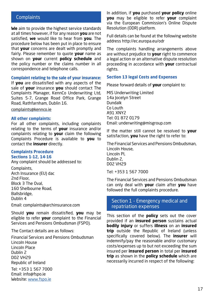# **Complaints**

**We** aim to provide the highest service standards at all times however, if for any reason **you** are not satisfied, **we** would like to hear from **you**. The procedure below has been put in place to ensure that **your** concerns are dealt with promptly and fairly. Please remember to quote **your** name as shown on **your** current **policy schedule** and the policy number or the claims number in all correspondence and telephone calls.

#### **Complaint relating to the sale of your insurance:**

If **you** are dissatisfied with any aspects of the sale of **your** insurance **you** should contact The Complaints Manager, KennCo Underwriting Ltd, Suites 5-7, Grange Road Office Park, Grange Road, Rathfarnham, Dublin 16.

## complaints@kennco.ie

#### **All other complaints:**

For all other complaints, including complaints relating to the terms of **your** insurance and/or complaints relating to **your** claim the following Complaints Procedure is available to **you** to contact the **insurer** directly.

#### **Complaints Procedure Sections 1-12, 14-16**

Any complaint should be addressed to:

Complaints, Arch Insurance (EU) dac 2nd Floor, Block 3 The Oval, 160 Shelbourne Road, Ballsbridge, Dublin 4

Email: complaints@archinsurance.com

Should **you** remain dissatisfied, **you** may be eligible to refer **your** complaint to the Financial Services and Pensions Ombudsman (FSPO).

The Contact details are as follows:

Financial Services and Pensions Ombudsman Lincoln House Lincoln Place Dublin 2 D02 VH29 Republic of Ireland Tel: +353 1 567 7000 Email: info@fspo.ie Website: www.fspo.ie

In addition, if **you** purchased **your policy** online **you** may be eligible to refer **your** complaint via the European Commission's Online Dispute Resolution (ODR) platform.

Full details can be found at the following website address http://ec.europa.eu/odr

The complaints handling arrangements above are without prejudice to **your** right to commence a legal action or an alternative dispute resolution proceeding in accordance with **your** contractual rights.

#### **Section 13 legal Costs and Expenses**

Please forward details of **your** complaint to:

MIS Underwriting Limited 14a Jocelyn Street Dundalk Co Louth A91 XNY2 Tel: 01 872 0179 Email: underwriting@misgroup.com

If the matter still cannot be resolved to **your** satisfaction, **you** have the right to refer to:

The Financial Services and Pensions Ombudsman, Lincoln House, Lincoln Pl, Dublin 2, D02 VH29

Tel: +353 1 567 7000

The Financial Services and Pensions Ombudsman can only deal with **your** claim after **you** have followed the full complaints procedure.

## Section 1 - Emergency medical and repatriation expenses

This section of the **policy** sets out the cover provided if an **insured person** sustains actual **bodily injury** or suffers **illness** on an **insured trip** outside the Republic of Ireland (unless specifically covered below). The **insurer** will indemnify/pay the reasonable and/or customary costs/expenses up to but not exceeding the sum insured per **insured person** in total per **insured trip** as shown in the **policy schedule** which are necessarily incurred in respect of the following: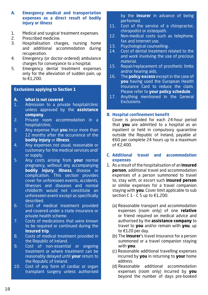## **A. Emergency medical and transportation expenses as a direct result of bodily injury or illness**

- 1. Medical and surgical treatment expenses.<br>2 Prescribed medicine
- Prescribed medicine.
- 3. Hospitalisation charges, nursing home and additional accommodation during recuperation.
- 4. Emergency (or doctor-ordered) ambulance charges for conveyance to a hospital.
- 5. Emergency dental treatment expenses only for the alleviation of sudden pain, up to €1,200.

## **Exclusions applying to Section 1**

- **A. What is not covered**
- 1. Admission to a private hospital/clinic unless approved by the **assistance company**.
- 2. Private room accommodation in a hospital/clinic.
- 3. Any expense that **you** incur more than 12 months after the occurrence of the **bodily injury** or **illness**.
- 4. Any expenses not usual, reasonable or customary for the medical services and/ or supply.
- 5. Any costs arising from **your** normal pregnancy, without any accompanying **bodily injury**, **illness**, disease or complication. This section provides cover for unforeseen events, accidents, illnesses and diseases and normal childbirth would not constitute an unforeseen event except as specifically described.
- 6. Cost of medical treatment provided and covered under a state insurance or private health scheme.
- 7. Costs of medications that were known to be required or continued during the **Insured trip**.
- 8. Costs of medical treatment provided in the Republic of Ireland.
- 9. Cost of non-essential or ongoing treatment or where treatment can be reasonably delayed until **your** return to the Republic of Ireland.
- 10. Cost of any form of cardiac or organ transplant surgery unless authorised

by the **insurer** in advance of being performed.

- 11. Cost of the service of a chiropractor, chiropodist or osteopath.
- 12. Non-medical costs such as telephone, fax and internet use.
- 13. Psychological counselling.
- 14. Cost of dental treatment related to the and work involving the use of precious material.
- 15. Repair/replacement of prosthetic limbs and/or hearing aids.
- 16. The **policy excess** except in the case of **you** having used the European Health Insurance Card to reduce the claim. Please refer to **your policy schedule**.
- 17. Anything mentioned in the General Exclusions.

## **B. Hospital confinement benefit**

Cover is provided for each 24-hour period that **you** are admitted to a hospital as an inpatient or held in compulsory quarantine outside the Republic of Ireland, payable at €60 per complete 24 hours up to a maximum of €2,400.

- **C. Additional travel and accommodation expenses**
- 1. As a result of the hospitalisation of an **insured person**, additional travel and accommodation expenses of a person summoned to travel to, stay with, or escort such **insured person** or similar expenses for a travel companion staying with **you**. Cover limit applicable to sub section C 1 - C 5 up to €1,200.
	- (a) Reasonable transport and accommodation expenses (room only) of one **relative** or friend required on medical advice and authorised by the **assistance company** to travel to **you** and/or remain with **you**, up to €120 per day.
	- (b) The **insurer**'s travel insurance for a person summoned or a travel companion staying with **you**.
	- (c) Reasonable additional travelling expenses incurred by **you** in returning to **your** home address.
	- (d) Reasonable additional accommodation expenses (room only) incurred by **you** beyond the number of days pre-booked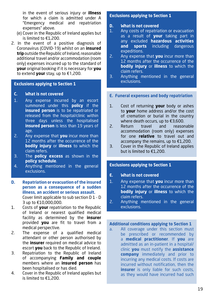in the event of serious injury or **illness** for which a claim is admitted under A "Emergency medical and repatriation expenses" above.

- (e) Cover in the Republic of Ireland applies but is limited to €1,200.
- 2. In the event of a positive diagnosis of Coronavirus (COVID-19) whilst on an **insured trip** outside the Republic of Ireland, reasonable additional travel and/or accommodation (room only) expenses incurred up to the standard of **your** original booking if it is necessary for **you** to extend **your** stay, up to €1,200.

## **Exclusions applying to Section 1**

## **C. What is not covered**

- 1. Any expense incurred by an escort summoned under this **policy** if the **insured person** is to be repatriated or released from the hospital/clinic within three days unless the hospitalised **insured person** is less than 19 years of age.
- 2. Any expense that **you** incur more than 12 months after the occurrence of the **bodily injury** or **illness** to which the claim refers.
- 3. The **policy excess** as shown in the **policy schedule**.
- 4. Anything mentioned in the general exclusions.
- **D. Repatriation or evacuation of the insured person as a consequence of a sudden illness, an accident or serious assault.**  Cover limit applicable to sub section D 1 - D 3 up to €10,000,000.
- 1. Costs of **your** repatriation to the Republic of Ireland or nearest qualified medical facility as determined by the **insurer** provided **you** are fit to travel from a medical perspective.
- 2. The expense of a qualified medical attendant or other person authorised by the **insurer** required on medical advice to escort **you** back to the Republic of Ireland.
- 3. Repatriation to the Republic of Ireland of accompanying **Family and couple** members where an **insured person** has been hospitalised or has died.
- 4. Cover in the Republic of Ireland applies but is limited to €1,200.

## **Exclusions applying to Section 1**

## **D. What is not covered**

- 1. Any costs of repatriation or evacuation as a result of **your** taking part in any excluded **hazardous activities and sports** including dangerous expeditions.
- 2. Any expense that **you** incur more than 12 months after the occurrence of the **bodily injury** or **illness** to which the claim refers.
- 3. Anything mentioned in the general exclusions.

## **E. Funeral expenses and body repatriation**

- 1. Cost of returning **your** body or ashes to **your** home address and/or the cost of cremation or burial in the country where death occurs, up to €3,600.
- 2. Return travel and reasonable accommodation (room only) expenses for one **relative** to travel out and accompany the remains, up to  $E1,200$ .
- 3. Cover in the Republic of Ireland applies but is limited to €1,200.

## **Exclusions applying to Section 1**

- **E. What is not covered**
- 1. Any expense that **you** incur more than 12 months after the occurrence of the **bodily injury** or **illness** to which the claim refers.
- 2. Anything mentioned in the general exclusions.

## **Additional conditions applying to Section 1**

a. All coverage under this section must be prescribed or recommended by a **medical practitioner**. If **you** are admitted as an in-patient in a hospital/ clinic **you** must notify the **assistance company** immediately and prior to incurring any medical costs. If costs are incurred without notification, then the **insurer** is only liable for such costs. as they would have incurred had such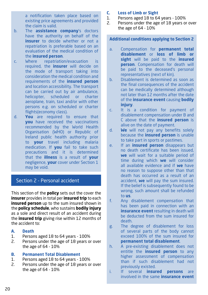a notification taken place based on existing price agreements and provided the claim is valid.

- b. The **assistance company**'s doctors have the authority on behalf of the **insurer** to decide whether or not a repatriation is preferable based on an evaluation of the medical condition of the **insured person**.
- c. Where repatriation/evacuation is required, the **insurer** will decide on the mode of transport taking into consideration the medical condition and requirements of the **insured person** and location accessibility. The transport can be carried out by air ambulance,<br>helicopter, scheduled or charter scheduled or charter aeroplane, train, taxi and/or with other persons e.g. on scheduled or charter flights(economy class).
- d. **You** are required to ensure that **vou** have received the vaccinations recommended by the World Health Organisation (WHO) or Republic of Ireland public health authority prior to **your** travel including malaria medication. If **you** fail to take such precautions and it is determined that the **illness** is a result of **your** negligence, **your** cover under Section 1 may be void.

# Section 2 - Personal accident

This section of the **policy** sets out the cover the **insurer** provides in total per **insured trip** to each **insured person** up to the sum insured shown in the **policy schedule**, who sustains **bodily injury** as a sole and direct result of an accident during the **insured trip** giving rise within 12 months of the accident to:

- **A. Death**
- 1. Persons aged 18 to 64 years 100%
- 2. Persons under the age of 18 years or over the age of 64 - 10%

## **B. Permanent Total Disablement**

- 1. Persons aged 18 to 64 years 100%
- 2. Persons under the age of 18 years or over the age of 64 - 10%
- **C. Loss of Limb or Sight**
- 1. Persons aged 18 to 64 years 100%<br>2. Persons under the age of 18 years of
- Persons under the age of 18 years or over the age of 64 - 10%

## **Additional conditions applying to Section 2**

- a. Compensation for **permanent total disablement** or **loss of limb or sight** will be paid to the **insured person**. Compensation for death will be paid to the deceased's personal representatives (next of kin).
- b. Disablement is determined as soon as the final consequences of the accident can be medically determined although not later than 12 months after the date of the **insurance event** causing **bodily injury**.
- c. It is a condition for payment of disablement compensation under B and C above that the **insured person** is alive on the date of payment.
- d. **We** will not pay any benefits solely because the **insured person** is unable to take part in sports or pastimes.
- e. If an **insured person** disappears but no death certificate has been issued, **we** will wait for a suitable period of time during which **we** will consider all available evidence and if **we** have no reason to suppose other than that death has occurred as a result of an accident, **we** will pay the sum insured. If the belief is subsequently found to be wrong, such amount shall be refunded to **us**.
- f. Any disablement compensation that has been paid in connection with an **insurance event** resulting in death will be deducted from the sum insured for death.
- g. The degree of disablement for loss of several parts of the body cannot exceed 100% of the sum insured for **permanent total disablement**.
- h. A pre-existing disablement does not entitle the **insured person** to any higher assessment of compensation than if such disablement had not previously existed.
- i. If several **insured persons** are involved in the same **insurance event**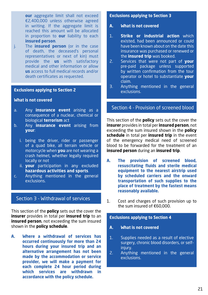**our** aggregate limit shall not exceed €2,400,000 unless otherwise agreed in writing. If the aggregate limit is reached this amount will be allocated in proportion to **our** liability to each **insured person**.

j. The **insured person** (or in the case of death, the deceased's personal representatives or next of kin) must provide the **us** with satisfactory medical and other information or allow **us** access to full medical records and/or death certificates as requested.

## **Exclusions applying to Section 2**

## **What is not covered**

- a. Any **insurance event** arising as a consequence of a nuclear, chemical or biological **terrorism** act
- b. Any **insurance event** arising from **your**:
	- i. being the driver, rider or passenger of a quad bike, all terrain vehicle or motorcycle when **you** are not wearing a crash helmet, whether legally required locally or not
	- ii. **your** participation in any excluded **hazardous activities and sports**.
- c. Anything mentioned in the general exclusions.

# Section 3 - Withdrawal of services

This section of the **policy** sets out the cover the **insurer** provides in total per **insured trip** to an **insured person**, not exceeding the sum insured shown in the **policy schedule**.

**A. Where a withdrawal of services has occurred continuously for more than 24 hours during your insured trip and an alternative arrangement has not been made by the accommodation or service provider, we will make a payment for each complete 24 hour period during which services are withdrawn in accordance with the policy schedule.** 

## **Exclusions applying to Section 3**

- **A. What is not covered**
- 1. **Strike or industrial action** which existed, had been announced or could have been known about on the date this insurance was purchased or renewed or the **insured trip** was booked.
- 2. Services that were not part of **your** pre-paid package unless supported by written confirmation from the tour operator or hotel to substantiate **your** claim.
- 3. Anything mentioned in the general exclusions.

# Section 4 - Provision of screened blood

This section of the **policy** sets out the cover the **insurer** provides in total per **insured person**, not exceeding the sum insured shown in the **policy schedule** in total per **insured trip** in the event of the emergency medical need of screened blood to be forwarded for the treatment of an **insured person** during an **insured trip**.

- **A. The provision of screened blood, resuscitating fluids and sterile medical equipment to the nearest airstrip used by scheduled carriers and the onward transportation of such supplies to the place of treatment by the fastest means reasonably available.**
- 1. Cost and charges of such provision up to the sum insured of €60,000.

## **Exclusions applying to Section 4**

- **A. What is not covered**
- 1. Supplies needed as a result of elective surgery, chronic blood disorders, or selfinjury.
- 2. Anything mentioned in the general exclusions.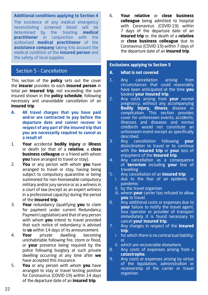## **Additional conditions applying to Section 4**

The existence of any medical emergency necessitating screened blood will be determined by the treating **medical practitioner** in conjunction with the authorised **medical practitioner** of the **assistance company** taking into account the medical condition of the **insured person** and the safety of local supplies.

## Section 5 - Cancellation

This section of the **policy** sets out the cover the **insurer** provides to each **insured person** in total per **insured trip**, not exceeding the sum insured shown in the **policy schedule**, following necessary and unavoidable cancellation of an **insured trip**.

- **A. All travel charges that you have paid and**/**or are contracted to pay before the departure date and cannot recover in respect of any part of the insured trip that you are necessarily required to cancel as a result of**:
- 1. **Your** accidental **bodily injury** or **illness** or death (or that of a **relative**, a **close business colleague** or a friend with whom **you** have arranged to travel or stay).
- 2. **You** or any person with whom **you** have arranged to travel or stay, having being subject to compulsory quarantine or being summoned for non-foreseeable compulsory military and/or jury service or as a witness in a court of law (except as an expert witness in a professional capacity) during the period of the **insured trip**.
- 3. **Your** redundancy (qualifying **you** to claim for payment under current Redundancy Payment Legislation) and that of any person with whom **you** intend to travel provided that such notice of redundancy is advised to **us** within 14 days of its announcement.
- 4. **Your** private dwelling becoming uninhabitable following fire, storm or flood, or **your** presence being required by the police following burglary at such private dwelling occurring at any time after **we** have accepted this insurance.
- 5. **You** or any person with whom **you** have arranged to stay or travel testing positive for Coronavirus (COVID-19) within 14 days of the departure date of an **insured trip**.

6. **Your relative** or **close business colleague** being admitted to hospital with Coronavirus (COVID-19) within 7 days of the departure date of an **insured trip** or, the death of a **relative** or **close business colleague** due to Coronavirus (COVID-19) within 7 days of the departure date of an **insured trip**.

## **Exclusions applying to Section 5**

- **A. What is not covered**
- 1. Any cancellation arising from circumstances that could reasonably have been anticipated at the time **you** booked **your insured trip**.
- 2. Any costs arising from **your** normal pregnancy, without any accompanying **Bodily Injury, Illness**, disease or complication. This section provides cover for unforeseen events, accidents, illnesses and diseases and normal childbirth would not constitute an unforeseen event except as specifically described.
- 3. Any cancellation following **your** disinclination to travel or to continue with the **insured trip** or **your** loss of enjoyment of the **Insured trip**.
- 4. Any cancellation as a consequence of **terrorism** including **your** fear of travelling.
- 5. Any cancellation of an **insured trip**:
	- i. due to the fear of an epidemic or pandemic
	- ii. by the travel organiser
	- iii. where **your** carrier has refused to allow **you** to travel.
- 6. Any additional costs or expenses due to **your** failure to notify the travel agent, tour operator or provider of transport immediately it is found necessary to cancel **your insured trip**.
- 7. Any charges in respect of the **insured trip**:
	- i. for which there is no contractual liability; or
	- ii. which are recoverable elsewhere.
- 8. Any costs of expenses arising from a **catastrophe**.
- 9. Any costs or expenses arising by virtue of the liquidation, administration or receivership of the carrier or travel organiser.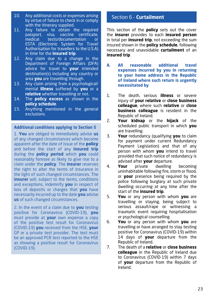- 10. Any additional costs or expenses arising by virtue of failure to check in or comply with the itinerary supplied.
- 11. Any failure to obtain the required passport, visa, vaccine certificate, tests/documentation or ESTA (Electronic System for Travel Authorisation for travellers to the U.S.A) in time for the **insured trip**.
- 12. Any claim due to a change in the Department of Foreign Affairs (DFA) advice for travel to **your** intended destination(s) including any country or area **you** are travelling through.
- 13. Any claim arising from a psychological/ mental **illness** suffered by **you** or a **relative** whether travelling or not.
- 14. The **policy excess** as shown in the **policy schedule**.
- 15. Anything mentioned in the general exclusions.

**Additional conditions applying to Section 5** 

1. **You** are obliged to immediately advise **us** of any changed circumstances which become apparent after the date of issue of the **policy** and before the start of any **insured trip** during the **policy period** which **you** could reasonably foresee as likely to give rise to a claim under the **policy**. The **insurer** reserves the right to alter the terms of insurance in the light of such changed circumstances. The **insurer** will, subject to the terms, conditions and exceptions, indemnify **you** in respect of loss of deposits or charges that **you** have necessarily incurred up to the date **you** advise **us** of such changed circumstances.

2. In the event of a claim due to **you** testing positive for Coronavirus (COVID-19), **you** must provide at **your** own expense a copy of the positive test result for Coronavirus (COVID-19) **you** received from the HSE, **your** GP or a private test provider. The test must be an approved PCR test reported to the HSE as showing a positive result for Coronavirus (COVID-19).

## Section 6 - **Curtailment**

This section of the **policy** sets out the cover the **insurer** provides to each **insured person** in total per **insured trip**, not exceeding the sum insured shown in the **policy schedule**, following necessary and unavoidable **curtailment** of an **insured trip**.

- **A. All reasonable additional travel expenses incurred by you in returning to your home address in the Republic of Ireland where such return is urgently necessitated by**
- 1. The death, serious **illness** or severe injury of **your relative** or **close business colleague**, where such **relative** or **close business colleague** is resident in the Republic of Ireland.
- 2. **Your kidnap** or the **hijack** of the scheduled public transport in which **you** are travelling.
- 3. **Your** redundancy (qualifying **you** to claim for payment under current Redundancy Payment Legislation) and that of any person with whom **you** intend to travel provided that such notice of redundancy is advised after **your** departure.
- 4. **Your** private dwelling becoming uninhabitable following fire, storm or flood, or **your** presence being required by the police following burglary at such private dwelling occurring at any time after the start of the **insured trip**.
- 5. **You** or any person with whom **you** are travelling or staying, being subject to serious assault/rape or witnessing a traumatic event requiring hospitalisation or psychological counselling.
- 6. **You** or any person with whom **you** are travelling or have arranged to stay testing positive for Coronavirus (COVID-19) within 14 days of **your** departure from the Republic of Ireland.
- 7. The death of a **relative** or **close business colleague** in the Republic of Ireland due to Coronavirus (COVID-19) within 7 days of **your** departure from the Republic of Ireland.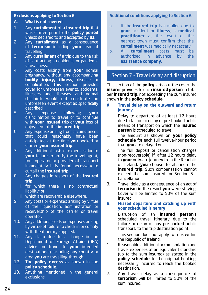## **Exclusions applying to Section 6**

## **A. What is not covered**

- 1. Any **curtailment** of a **insured trip** that was started prior to the **policy period** unless declared to and accepted by **us**.
- 2. Any **curtailment** as a consequence of **terrorism** including **your** fear of travelling
- 3. Any **curtailment** of a trip due to the risk of contracting an epidemic or pandemic virus/illness.
- 4. Any costs arising from **your** normal pregnancy, without any accompanying bodily injury, illness, disease or complication. This section provides cover for unforeseen events. accidents. illnesses and diseases and normal childbirth would not constitute an unforeseen event except as specifically described.
- 5. Any expense following **your** disinclination to travel or to continue with **your insured trip** or **your** loss of enjoyment of the **insured trip**.
- 6. Any expense arising from circumstances that could reasonably have been anticipated at the time **you** booked or started **your insured trip**.
- 7. Any additional costs or expenses due to **your** failure to notify the travel agent, tour operator or provider of transport immediately it is found necessary to curtail the **insured trip**.
- 8. Any charges in respect of the **insured trip**:
	- i. for which there is no contractual liability; or
	- ii. which are recoverable elsewhere.
- 9. Any costs or expenses arising by virtue of the liquidation, administration or receivership of the carrier or travel operator.
- 10. Any additional costs or expenses arising by virtue of failure to check in or comply with the itinerary supplied.
- 11. Any claim due to a change in the Department of Foreign Affairs (DFA) advice for travel to **your** intended destination(s) including any country or area **you** are travelling through.
- 12. The **policy excess** as shown in the **policy schedule**.
- 13. Anything mentioned in the general exclusions.

## **Additional conditions applying to Section 6**

- a. If the **insured trip** is curtailed due to **your** accident or **illness**, a **medical practitioner** at the resort or the nearest town must confirm that the **curtailment** was medically necessary.<br>All **curtailment** costs must be
- b. All **curtailment** costs must be authorised in advance by the **assistance company**.

# Section 7 - Travel delay and disruption

This section of the **policy** sets out the cover the **insurer** provides to each **insured person** in total per **insured trip**, not exceeding the sum insured shown in the **policy schedule**.

**A. Travel delay on the outward and return journey** 

> Delay to departure of at least 12 hours due to failure or delay of pre-booked public means of transport on which the **insured person** is scheduled to travel

- 1. The amount as shown on **your policy schedule** for each full twelve-hour period that **you** are delayed or
- 2. The full deposit or cancellation charges (non-recoverable) if, after 12 hours delay to **your** outward journey from the Republic of Ireland, **you** choose to abandon the **insured trip**. Such compensation cannot exceed the sum insured for Section 5 - Cancellation.
- 3. Travel delay as a consequence of an act of **terrorism** in the resort **you** were staying. Cover will be limited to 50% of the sum insured.

## **B. Missed departure and catching up with your scheduled itinerary**

Disruption of an **insured person**'**s** scheduled travel itinerary due to the failure or delay of any pre-booked public transport, to the trip destination point.

This section does not apply to trips within the Republic of Ireland.

- 1. Reasonable additional accommodation and travel expenses of an equivalent standard (up to the sum insured) as stated in the **policy schedule** to the original booking, necessarily incurred to reach the booked destination.
- 2. Any travel delay as a consequence of **terrorism** will be limited to 50% of the sum insured.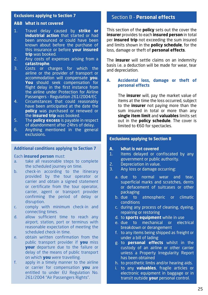## **Exclusions applying to Section 7**

## **A&B What is not covered**

- 1. Travel delay caused by **strike or industrial action** that started or had been announced or could have been known about before the purchase of this insurance or before **your insured trip** was booked.
- 2. Any costs of expenses arising from a **catastrophe**.
- 3. Costs or charges for which the airline or the provider of transport or accommodation will compensate **you**. **You** should seek compensation for flight delay in the first instance from the airline under Protection for Airline Passengers - Regulation 261/2004/EC
- 4. Circumstances that could reasonably have been anticipated at the date the **policy** was purchased or renewed or the **insured trip** was booked.
- 5. The **policy excess** is payable in respect of abandonment after 24hrs of delay.
- 6. Anything mentioned in the general exclusions.

## **Additional conditions applying to Section 7**

#### Each **insured person** must:

- a. take all reasonable steps to complete the scheduled journey on time.
- b. check-in according to the itinerary provided by the tour operator or carrier and obtain a signed statement or certificate from the tour operator, carrier, agent or transport provider confirming the period of delay or disruption.
- c. comply with minimum check-in and connecting times.
- d. allow sufficient time to reach any airport, station, port or terminus with reasonable expectation of meeting the scheduled check-in time.
- e. obtain written confirmation from the public transport provider if **you** miss **vour** departure due to the failure or delay of the means of public transport on which **you** were travelling.
- f. apply in a timely manner to the airline or carrier for compensation **you** are entitled to under EU Regulation No. 261/2004 "Air Passengers Rights".

# Section 8 - **Personal effects**

This section of the **policy** sets out the cover the **insurer** provides to each **insured person** in total per **insured trip** not exceeding the sum insured and limits shown in the **policy schedule**, for the loss, damage or theft of **personal effects**.

The **insurer** will settle claims on an indemnity basis i.e. a deduction will be made for wear, tear and depreciation.

## **A. Accidental loss, damage or theft of personal effects**

The **insurer** will, pay the market value of items at the time the loss occurred, subject to the **insurer** not paying more than the sum insured in total or more than any **single item limit** and **valuables** limits set out in the **policy schedule**. The cover is limited to €60 for spectacles.

## **Exclusions applying to Section 8**

- **A. What is not covered**
- 1. Items delayed or confiscated by any government or public authority.
- 2. Depreciation in value.<br>3. Any loss or damage or
- 3. Any loss or damage occurring:
	- a. due to normal wear and tear, superficial marks and scratches, dents or defacement of suitcases or other packaging
	- b. due to atmospheric or climatic conditions
	- c. during any process of cleaning, dyeing, repairing or restoring
	- d. to **sports equipment** while in use
	- e. due to mechanical or electrical breakdown or derangement
	- f. to any items being shipped as freight or under a bill of lading
	- g. to **personal effects** whilst in the custody of an airline or other carrier unless a Property Irregularity Report has been obtained
	- h. to prosthetic limbs and/or hearing aids.
	- i. to any **valuables**, fragile articles or electronic equipment in baggage or in transit outside **your** personal control.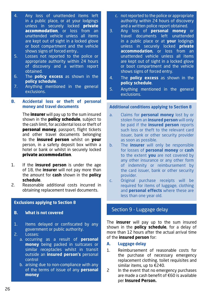- 4. Any loss of unattended items left in a public place, or at your lodgings unless in securely locked **private accommodation**, or loss from an unattended vehicle unless all items are kept out of sight in a locked glove or boot compartment and the vehicle shows signs of forced entry..
- 5. Losses not reported to the police or appropriate authority within 24 hours of discovery and a written report obtained.
- 6. The **policy excess** as shown in the **policy schedule**.
- 7. Anything mentioned in the general exclusions.

## **B. Accidental loss or theft of personal money and travel documents**

The **insurer** will pay up to the sum insured shown in the **policy schedule**, subject to the cash limit, for accidental loss or theft of personal money, passport, flight tickets and other travel documents belonging to the **insured person** whilst on your person, in a safety deposit box within a hotel or bank or whilst in securely locked private accommodation.

- 1. If the **insured person** is under the age of 18, the **insurer** will not pay more than the amount for **cash** shown in the **policy schedule**.
- 2. Reasonable additional costs incurred in obtaining replacement travel documents.

## **Exclusions applying to Section 8**

- **B. What is not covered**
- 1. Items delayed or confiscated by any government or public authority.
- 2. Losses:
	- a. occurring as a result of **personal money** being packed in suitcases or similar receptacles whilst in transit outside an **insured person's** personal control
	- b. arising due to non-compliance with any of the terms of issue of any **personal money**
- c. not reported to the police or appropriate authority within 24 hours of discovery and a written police report obtained.
- 3. Any loss of **personal money** or travel documents left unattended in a public place or at **your** lodgings unless in securely locked **private accommodation**, or loss from an unattended vehicle unless all items are kept out of sight in a locked glove or boot compartment and the vehicle shows signs of forced entry.
- 4. The **policy excess** as shown in the **policy schedule**.
- 5. Anything mentioned in the general exclusions.

## **Additional conditions applying to Section 8**

- a. Claims for **personal money** lost by or stolen from an **insured person** will only be paid if the **insured person** reports such loss or theft to the relevant card issuer, bank or other security provider as soon as possible.
- b. The **insurer** will only be responsible for losses of **personal money** or **cash** to the extent **you** are not covered by any other insurance or any other form of indemnity or reimbursement by the card issuer, bank or other security provider.
- c. Original purchase receipts will be required for items of luggage, clothing and **personal effects** where these are less than one year old.

# Section 9 - Luggage delay

The **insurer** will pay up to the sum insured shown in the **policy schedule**, for a delay of more than 12 hours after the actual arrival time of the **insured person** for:

- **A. Luggage delay**
- 1. Reimbursement of reasonable costs for the purchase of necessary emergency replacement clothing, toilet requisites and similar items, up to  $\epsilon$  240.
- 2 In the event that no emergency purchases are made a cash benefit of €60 is available per **Insured Person.**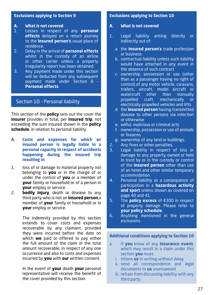## **Exclusions applying to Section 9**

## **A. What is not covered**

- 1. Losses in respect of any **personal effects** delayed on a return journey to the **insured person**'**s** usual place of residence.
- 2. Delay in the arrival of **personal effects** whilst in the custody of an airline or other carrier unless a property irregularity report has been obtained.
- 3. Any payment made under this section will be deducted from any subsequent payment made under Section 8 - **Personal effects**.

# Section 10 - Personal liability

This section of the **policy** sets out the cover the **insurer** provides in total, per **insured trip**, not exceeding the sum insured shown in the **policy schedule**, in relation to personal liability.

- **A. Costs and expenses for which an insured person is legally liable in a personal capacity in respect of accidents happening during the insured trip resulting in**:
- 1. loss of or damage to material property not belonging to **you** or in the charge of or under the control of **you** or a member of **your** family or household or of a person in **your** employ or service.
- 2. **bodily injury**, death or disease to any third party who is not an **insured person**,a member of **your** family or household or in **your** employ or service.

The indemnity provided by this section extends to cover costs and expenses recoverable by any claimant, provided they were incurred before the date on which **we** paid or offered to pay either the full amount of the claim or the total amount recoverable, in respect of any one occurrence and also to costs and expenses incurred by **you** with **our** written consent.

In the event of **your** death **your** personal representative will receive the benefit of the cover provided by this section.

## **Exclusions applying to Section 10**

## **A. What is not covered**

- 1. Legal liability arising directly or indirectly out of:
	- a. the **insured person**'**s** trade profession or business
	- b. contractual liability unless such liability would have attached in any event in the absence of such contract
	- c. ownership, possession or use (other than as a passenger having no right of control) of any motor vehicle, caravans, trailers, aircraft, model aircraft or watercraft other than manually propelled craft, mechanically or electrically propelled vehicles and lifts
	- d. the **insured person** having transmitted disease to other persons via infection or otherwise
	- e. wilful, malicious or criminal acts
	- f. ownership, possession or use of animals or firearms
	- g. ownership of any land or buildings.
- 2. Any fines or other penalties.
- 3. Legal liability in respect of loss or damage to any property owned or held in trust by or in the custody or control of the **insured person** other than use of an hotel and other similar temporary accommodation.
- 4. Personal liability as a consequence of participation in a **hazardous activity and sport** unless shown as covered on page 40 and 41.
- 5. The **policy excess** of €300 in respect of property damage. Please refer to **your policy schedule**.
- 6. Anything mentioned in the general exclusions.

## **Additional conditions applying to Section 10**

- a. If **you** know of any **insurance event**, which may result in a claim under this section **you** must:
	- i. inform **us** in writing without delay
	- ii. send all correspondence and legal documents to **us** unanswered
	- iii. refrain from discussing liability with any third party.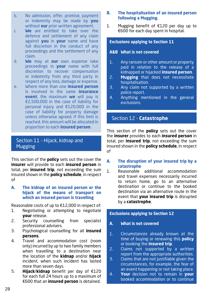- b. No admission, offer, promise, payment or indemnity may be made by **you** without **our** prior written agreement.
- c. **We** are entitled to take over the defence and settlement of any claim against **you** in **your** name and have full discretion in the conduct of any proceedings and the settlement of any claim.
- d. **We** may at **our** own expense take proceedings in **your** name with full discretion to recover compensation or indemnity from any third party in respect of any loss, damage or expense.
- e. Where more than one **insured person** is involved in the same **insurance event**, the maximum **we** will pay is €2,500,000 in the case of liability for personal injury and €120,000 in the case of liability for property damage unless otherwise agreed. If this limit is reached, this amount will be allocated in proportion to each **insured person**.

# Section 11 - Hijack, kidnap and Mugging

This section of the **policy** sets out the cover the **insurer** will provide to each **insured person** in total, per **insured trip**, not exceeding the sum insured shown in the **policy schedule**, in respect of

## **A. The kidnap of an insured person or the hijack of the means of transport on which an insured person is travelling**

Reasonable costs of up to €12,000 in respect of:

- 1. Negotiating or attempting to negotiate **your** release.
- 2. Security counselling from specialist professional advisers.
- 3. Psychological counselling for all **insured persons**.
- 4. Travel and accommodation cost (room only) incurred by up to two family members when travelling to a destination near the location of the **kidnap** and/or **hijack** incident, when such incident has lasted more than seven days.
- 5. **Hijack**/**kidnap** benefit per day of €120 for each full 24 hours up to a maximum of €600 that an **insured person** is detained.

## **B. The hospitalisation of an insured person following a Mugging.**

1. Mugging benefit of €120 per day up to €600 for each day spent in hospital.

## **Exclusions applying to Section 11**

## **A&B What is not covered**

- 1. Any ransom or other amount or property paid in relation to the release of a kidnapped or hijacked **insured person**.
- 2. **Mugging** that does not necessitate hospitalisation.
- 3. Any claim not supported by a written police report.
- 4. Anything mentioned in the general exclusions.

# Section 12 - **Catastrophe**

This section of the **policy** sets out the cover the **insurer** provides to each **insured person** in total, per **insured trip**, not exceeding the sum insured shown in the **policy schedule**, in respect of

- **A. The disruption of your insured trip by a catastrophe**
- 1. Reasonable additional accommodation and travel expenses necessarily incurred to return home, go to an alternative destination or continue to the booked destination via an alternative route in the event that **your insured trip** is disrupted by a **catastrophe**.

## **Exclusions applying to Section 12**

- **A. What is not covered**
- 1. Circumstances already known at the time of buying or renewing this **policy** or booking the **insured trip**.
- 2. Claims not supported by a written report from the appropriate authorities.
- 3. Claims that are not justifiable given the circumstances, for example, the fear of an event happening or not taking place.
- 4. **Your** decision not to remain in **your** booked accommodation or to continue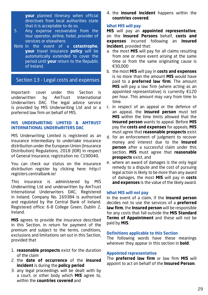**your** planned itinerary when official directives from local authorities state that it is acceptable to do so.

- 5. Any expense recoverable from the tour operator, airline, hotel, provider of services or elsewhere.
- Note In the event of a **catastrophe**, **your** travel insurance **policy** will be automatically extended to cover the period until **your** return to the Republic of Ireland.

## Section 13 - Legal costs and expenses

Important- cover under this Section is underwritten by AmTrust International Underwriters DAC. The legal advice service is provided by MIS Underwriting Ltd and or a preferred law firm on behalf of MIS.

## **MIS UNDERWRITING LIMITED & AMTRUST INTERNATIONAL UNDERWRITERS DAC**

MIS Underwriting Limited is registered as an insurance intermediary to undertake insurance distribution under the European Union (Insurance Distribution) Regulations, 2018 (IDR) in respect of General Insurance, registration no: C190040.

You can check our status on the insurance distribution register by clicking here: http:// registers.centralbank.ie/

This insurance is administered by MIS Underwriting Ltd and underwritten by AmTrust International Underwriters DAC, Registered in Ireland. Company No. 169384 is authorised and regulated by the Central Bank of Ireland. Registered office: 6-8 College Green, Dublin 2, Ireland.

**MIS** agrees to provide the insurance described in this Section, in return for payment of the premium and subject to the terms, conditions, exclusions and limitations set out in this Section, provided that

- 1. **reasonable prospects** exist for the duration of the claim
- 2. the **date of occurrence** of the **insured incident** is during the **policy period**
- 3. any legal proceedings will be dealt with by a court, or other body which **MIS** agree to, within the **countries covered** and

4. the **insured incident** happens within the **countries covered**.

## **What MIS will pay**

**MIS** will pay an **appointed representative**, on the **Insured Persons** behalf, **costs and expenses** incurred following an **insured incident**, provided that:

- a. the most **MIS** will pay for all claims resulting from one or more event arising at the same time or from the same originating cause is €30,000
- b. the most **MIS** will pay in **costs and expenses**  is no more than the amount **MIS** would have paid to a **preferred law firm**. The amount **MIS** will pay a law firm (where acting as an appointed representative) is currently €120 per hour. This amount may vary from time to time.
- c. in respect of an appeal or the defence of an appeal, the **insured person** must tell **MIS** within the time limits allowed that the **insured person** wants to appeal. Before **MIS** pay the **costs and expenses** for appeals, **MIS** must agree that **reasonable prospects** exist
- d. for an enforcement of judgment to recover money and interest due to the **Insured person** after a successful claim under this section, **MIS** must agree that **reasonable prospects** exist, and
- e. where an award of damages is the only legal remedy to a dispute and the cost of pursuing legal action is likely to be more than any award of damages, the most **MIS** will pay in **costs and expenses** is the value of the likely award.

## **What MIS will not pay**

In the event of a claim, if the **insured person**  decides not to use the services of a **preferred law firm**, the **Insured person** will be responsible for any costs that fall outside the **MIS Standard Terms of Appointment** and these will not be paid by **MIS**.

## **Definitions applicable to this Section**

The following words have these meanings wherever they appear in this section in **bold**:

## **Appointed representative**

The **preferred law firm** or law firm **MIS** will appoint to act on behalf of the **Insured Person**.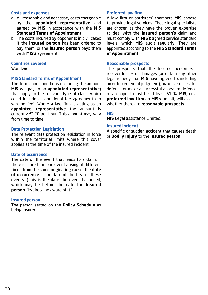## **Costs and expenses**

- a. All reasonable and necessary costs chargeable by the **appointed representative** and agreed by **MIS** in accordance with the **MIS Standard Terms of Appointment**.
- b. The costs incurred by opponents in civil cases if the **insured person** has been ordered to pay them, or the **insured person** pays them with **MIS**'**s** agreement.

## **Countries covered**

Worldwide.

## **MIS Standard Terms of Appointment**

The terms and conditions (including the amount **MIS** will pay to an **appointed representative**) that apply to the relevant type of claim, which could include a conditional fee agreement (no win, no fee). Where a law firm is acting as an **appointed representative** the amount is currently €120 per hour. This amount may vary from time to time.

## **Data Protection Legislation**

The relevant data protection legislation in force within the territorial limits where this cover applies at the time of the insured incident.

## **Date of occurrence**

The date of the event that leads to a claim. If there is more than one event arising at different times from the same originating cause, the **date of occurrence** is the date of the first of these events. (This is the date the event happened, which may be before the date the **Insured person** first became aware of it.)

## **Insured person**

The person stated on the **Policy Schedule** as being insured.

## **Preferred law firm**

A law firm or barristers' chambers **MIS** choose to provide legal services. These legal specialists are chosen as they have the proven expertise to deal with the **insured person**'**s** claim and must comply with **MIS**'**s** agreed service standard levels, which **MIS** audit regularly. They are appointed according to the **MIS Standard Terms of Appointment**.

#### **Reasonable prospects**

The prospects that the Insured person will recover losses or damages (or obtain any other legal remedy that **MIS** have agreed to, including an enforcement of judgment), makes a successful defence or make a successful appeal or defence of an appeal, must be at least 51 %. **MIS**, or a **preferred law firm** on **MIS**'**s** behalf, will assess whether there are **reasonable prospects**.

## **MIS**

**MIS** Legal assistance Limited.

## **Insured incident**

A specific or sudden accident that causes death or **Bodily Injury** to the **insured person**.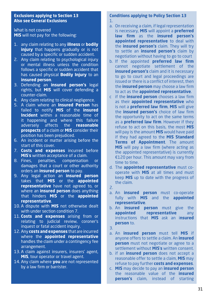## **Exclusions applying to Section 13 Also see General Exclusions**

What is not covered **MIS** will not pay for the following:

- 1. any claim relating to any **illness** or **bodily injury** that happens gradually or is not caused by a specific or sudden accident.
- 2. Any claim relating to psychological injury or mental illness unless the condition follows a specific or sudden accident that has caused physical **Bodily Injury** to an **insured person**.
- 3. Defending an **insured person's** legal rights, but **MIS** will cover defending a counter-claim.
- 4. Any claim relating to clinical negligence.
- 5. A claim where an **Insured Person** has failed to notify **MIS** of the **insured Incident** within a reasonable time of it happening and where this failure adversely affects the **reasonable prospects** of a claim or **MIS** consider their position has been prejudiced.
- 6. An incident or matter arising before the start of this cover.
- 7. **Costs and expenses** incurred before **MIS**'**s** written acceptance of a claim.
- 8. Fines, penalties, compensation or damages that a court or other authority orders an **insured person** to pay.
- 9. Any legal action an **insured person** takes that **MIS** or the **appointed representative** have not agreed to, or where an **insured person** does anything that hinders **MIS** or the **appointed representative**.
- 10. A dispute with **MIS** not otherwise dealt with under section condition 7.
- 11. **Costs and expenses** arising from or relating to judicial review, coroner's inquest or fatal accident inquiry.
- 12. Any **costs and expenses** that are incurred where the **appointed representative** handles the claim under a contingency fee arrangement.
- 13. A claim against insurers, insurers' agent, **MIS**, tour operator or travel agent.
- 14. Any claim where **you** are not represented by a law firm or barrister.

## **Conditions applying to Policy Section 13** 1.

- a. On receiving a claim, if legal representation is necessary, **MIS** will appoint a **preferred law firm** as the **insured person's appointed representative** to deal with the **insured person's** claim. They will try to settle an **insured person's** claim by negotiation without having to go to court
- b. If the appointed **preferred law firm** cannot negotiate settlement of the **insured person's** claim and it is necessary to go to court and legal proceedings are issued or there is a conflict of interest, then the **insured person** may choose a law firm to act as the **appointed representative**.
- c if the **insured person** chooses a law firm as their **appointed representative** who is not a **preferred law firm**, **MIS** will give the **insured person's** choice of law firm the opportunity to act on the same terms as a **preferred law firm**. However if they refuse to act on this basis, the most **MIS** will pay is the amount **MIS** would have paid if they had agreed to the **MIS Standard Terms of Appointment**. The amount **MIS** will pay a law firm (where acting as the appointed representative) is currently €120 per hour. This amount may vary from time to time.
- d. The **appointed representative** must cooperate with **MIS** at all times and must keep **MIS** up to date with the progress of the claim.
- 2.
- a. An **insured person** must co-operate fully with **MIS** and the **appointed representative**.
- b. An **insured person** must give the **appointed representative** any instructions that **MIS** ask an i**nsured person** to.
- 3.
- a. An **insured person** must tell **MIS** if anyone offers to settle a claim. An **insured person** must not negotiate or agree to a settlement without **MIS**'**s** written consent.
- b. if an **insured person** does not accept a reasonable offer to settle a claim, **MIS** may refuse to pay further **costs and expenses**.
- c. **MIS** may decide to pay an **insured person**  the reasonable value of the **insured person's** claim, instead of starting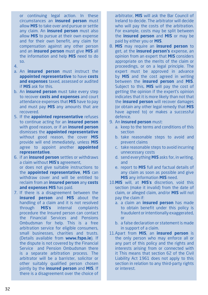or continuing legal action. In these circumstances an **insured person** must allow **MIS** to take over and pursue or settle any claim. An **insured person** must also allow **MIS** to pursue at their own expense and for their own benefit, any claim for compensation against any other person and an **insured person** must give **MIS** all the information and help **MIS** need to do so.

- 4.
- a. An **insured person** must instruct the **appointed representative** to have **costs and expenses** taxed, assessed or audited if **MIS** ask for this.
- b. An **insured person** must take every step to recover **costs and expenses** and court attendance expenses that **MIS** have to pay and must pay **MIS** any amounts that are recovered.
- 5. If the **appointed representative** refuses to continue acting for an **insured person** with good reason, or if an **insured person** dismisses the **appointed representative**  without good reason, the cover **MIS** provide will end immediately, unless **MIS** agree to appoint another **appointed representative**.
- 6. if an **insured person** settles or withdraws a claim without **MIS**'**s** agreement, or does not give suitable instructions to the **appointed representative**, **MIS** can withdraw cover and will be entitled to reclaim from an **insured person** any **costs and expenses MIS** has paid.
- 7. If there is a disagreement between the **insured person** and **MIS** about the handling of a claim and it is not resolved through **MIS**'**s** internal complaints procedure the Insured person can contact the Financial Services and Pensions Ombudsman for help. This is a free arbitration service for eligible consumers, small businesses, charities and trusts. (Details available from **www.fspo.ie**). If the dispute is not covered by the Financial Service and Pension Ombudsman there is a separate arbitration process. The arbitrator will be a barrister, solicitor or other suitably qualified person chosen jointly by the **insured person** and **MIS**. If there is a disagreement over the choice of

arbitrator, **MIS** will ask the Bar Council of Ireland to decide. The arbitrator will decide who will pay the costs of the arbitration. For example, costs may be split between the **insured person** and **MIS** or may be paid by either you or **MIS**.

- 8. **MIS** may require an **insured person** to get, at the **insured person's** expense, an opinion from an expert that **MIS** considers appropriate on the merits of the claim or proceedings, or on a legal principle. The expert must be approved in advance by **MIS** and the cost agreed in writing between the **insured person** and **MIS**. Subject to this, **MIS** will pay the cost of getting the opinion if the expert's opinion indicates that it is more likely than not that the **insured person** will recover damages (or obtain any other legal remedy that **MIS** have agreed to) or makes a successful defence.
- 9. An **insured person** must:
	- a. keep to the terms and conditions of this section
	- b. take reasonable steps to avoid and prevent claims
	- c. take reasonable steps to avoid incurring unnecessary costs
	- d. send everything **MIS** asks for, in writing, and
	- e. report to **MIS** full and factual details of any claim as soon as possible and give **MIS** any information **MIS** need.
- 10.**MIS** will, at **MIS**'**s** discretion, void this section (make it invalid) from the date of claim, or alleged claim, and/or **MIS** will not pay the claim if:
	- a. a claim an **insured person** has made to obtain benefit under this policy is fraudulent or intentionally exaggerated, or
	- b. a false declaration or statement is made in support of a claim.
- 11.Apart from **MIS**, an **insured person** is the only person who may enforce all or any part of this policy and the rights and interests arising from or connected with it This means that section 62 of the Civil Liability Act 1961 does not apply to this section in relation to any third-party rights or interest.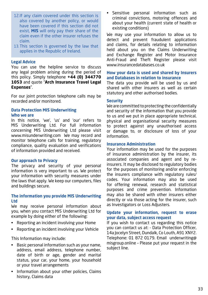- 12.If any claim covered under this section is also covered by another policy, or would have been covered if this section did not exist, **MIS** will only pay their share of the claim even if the other insurer refuses the claim.
- 13.This section is governed by the law that applies in the Republic of Ireland.

## **Legal Advice**

You can use the helpline service to discuss any legal problem arising during the period of this policy. Simply telephone **+44 (0) 344770 1053** and quote "**Arch Insurance Travel Legal Expenses**".

For our joint protection telephone calls may be recorded and/or monitored.

## **Data Protection MIS Underwriting Who we are**

In this notice, 'we', 'us' and 'our' refers to MIS Underwriting Ltd. For full information concerning MIS Underwriting Ltd please visit www.misunderwriting.com We may record and monitor telephone calls for training, regulatory compliance, quality evaluation and verifications of information provided and received.

## **Our approach to Privacy**

The privacy and security of your personal information is very important to us. We protect your information with security measures under the laws that apply. We keep our computers, files and buildings secure.

## **The information you provide MIS Underwriting Ltd**

We may receive personal information about you, when you contact MIS Underwriting Ltd for example by doing either of the following:

- Reporting an incident involving your Home
- Reporting an incident involving your Vehicle

This Information may include:

- Basic personal information such as your name, address, email address, telephone number, date of birth or age, gender and marital status, your car, your home, your household or your travel arrangements
- Information about your other policies, Claims history, Claims data

• Sensitive personal information such as criminal convictions, motoring offences and about your health (current state of health or existing conditions)

We may use your information to allow us to detect and prevent fraudulent applications and claims, for details relating to information held about you on the Claims Underwriting and Exchange Register and Motor Insurance Anti-Fraud and Theft Register please visit www.insurancedatabases.co.uk

## **How your data is used and shared by Insurers and Databases in relation to insurance**

The data you provide will be used by us and shared with other insurers as well as certain statutory and other authorised bodies.

#### **Security**

We are committed to protecting the confidentially and security of the information that you provide to us and we put in place appropriate technical, physical and organisational security measures to protect against any unauthorised access or damage to, or disclosure of loss of your information.

## **Insurance Administration**

Your information may be used for the purposes of insurance administration by the insurer, its associated companies and agent and by reinsurers. It may be disclosed to regulatory bodies for the purposes of monitoring and/or enforcing the insurers compliance with regulatory rules/ codes. Your information may also be used for offering renewal, research and statistical purposes and crime prevention. Information may also be shared with other insurers either directly or via those acting for the insurer, such as Investigators or Loss Adjusters.

## **Update your information, request to erase your data, subject access request**

If you wish to contact us regarding this notice you can contact us at: - Data Protection Officer, 14a Jocelyn Street, Dundalk, Co Louth, A91 XNY2. Telephone: 01 872 0179. Email underwriting@ misgroup.online – Please put your request in the subject line.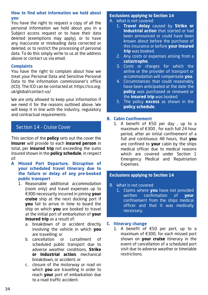## **How to find what information we hold about you**

You have the right to request a copy of all the personal information we hold about you in a Subject access request or to have their data deleted (exemptions may apply), or to have any inaccurate or misleading data corrected or deleted, or to restrict the processing of personal data. To do this simply write to us at the address above or contact us via email.

## **Complaints**

You have the right to complain about how we treat your Personal Data and Sensitive Personal Data to the information commissioner's office (ICO). The ICO can be contacted at: https://ico.org. uk/global/contact-us/

We are only allowed to keep your information if we need it for the reasons outlined above. We will keep it in line with the industry, regulatory and contractual requirements.

# Section 14 - Cruise Cover

This section of the **policy** sets out the cover the **insurer** will provide to each **insured person** in total, per **insured trip** not exceeding the sums insured shown in the **policy schedule**, in respect of:

- **A Missed Port Departure. Disruption of your scheduled travel itinerary due to the failure or delay of any pre-booked public transport**
	- 1. Reasonable additional accommodation (room only) and travel expenses up to €300 necessarily incurred in joining **your cruise** ship at the next docking port if **you** fail to arrive in time to board the ship on which **you** are booked to travel at the initial port of embarkation of **your Insured trip** as a result of:
		- a. breakdown of or accident directly involving the vehicle in which **you** are travelling; or
		- b. cancellation or curtailment of scheduled public transport due to adverse weather conditions, **Strike or Industrial action**, mechanical breakdown, or accident; or
		- c. closure of the motorway or road on which **you** are travelling in order to reach **your** port of embarkation due to a road traffic accident.

## **Exclusions applying to Section 14**

- A. What is not covered
	- 1. **Travel delay** caused by **Strike or Industrial action** that started or had been announced or could have been known about before the purchase of this insurance or before **your Insured trip** was booked.
	- 2. Any costs or expenses arising from a **catastrophe**.
	- 3. Costs or charges for which the airline or the provider of transport or accommodation will compensate **you**.
	- 4. Circumstances that could reasonably have been anticipated at the date the **policy** was purchased or renewed or the **insured trip** was booked.
	- 5. The policy **excess** as shown in the **policy schedule**.

## **B. Cabin Confinement**

1. A benefit of €50 per day , up to a maximum of €300 , for each full 24 hour period, after an initial confinement of a full and continuous 48 hours, that **you** are confined to **your** cabin by the ships medical officer due to medical reasons which are covered under Section 1 Emergency Medical and Repatriation Expenses.

## **Exclusions applying to Section 14**

- B. What is not covered
	- 1. Claims where **you** have not provided written confirmation of **your** confinement from the ships medical officer and that it was medically necessary.

## **C. Itinerary change**

1. A benefit of €50 per port, up to a maximum of €300, for each missed port shown on **your cruise** itinerary in the event of cancellation of a scheduled port visit due to adverse weather or timetable restrictions.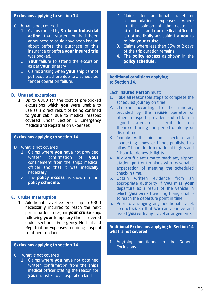## **Exclusions applying to section 14**

## C. What is not covered

- 1. Claims caused by **Strike or Industrial action** that started or had been
	- announced or could have been known about before the purchase of this insurance or before **your insured trip** was booked.
- 2. **Your** failure to attend the excursion as per **your** itinerary
- 3. Claims arising when **your** ship cannot put people ashore due to a scheduled tender operation failure.

## **D. Unused excursions**

1. Up to €300 for the cost of pre-booked excursions which **you** were unable to use as a direct result of being confined to **your** cabin due to medical reasons covered under Section 1 Emergency Medical and Repatriation Expenses

## **Exclusions applying to section 14**

- D. What is not covered
	- 1. Claims where **you** have not provided written confirmation of **your** confinement from the ships medical officer and that it was medically necessary.
	- 2. The **policy excess** as shown in the **policy schedule.**

#### **E. Cruise Interruption**

1. Additional travel expenses up to €300 necessarily incurred to reach the next port in order to re-join **your cruise** ship, following **your** temporary illness covered under Section 1 Emergency Medical and Repatriation Expenses requiring hospital treatment on land.

## **Exclusions applying to section 14**

- E. What is not covered
	- 1. Claims where **you** have not obtained written confirmation from the ships medical officer stating the reason for **your** transfer to a hospital on land.
- 2. Claims for additional travel or accommodation expenses where in the opinion of the doctor in attendance and **our** medical officer it is not medically advisable for **you** to re-join **your cruise**.
- 3. Claims where less than 25% or 2 days of the trip duration remains.
- 4. The **policy excess** as shown in the **policy schedule.**

#### **Additional conditions applying to Section 14.**

## Each **Insured Person** must:

- 1. Take all reasonable steps to complete the scheduled journey on time.
- 2. Check-in according to the itinerary provided by the **cruise** operator or other transport provider and obtain a signed statement or certificate from them confirming the period of delay or disruption.
- 3. Comply with minimum check-in and connecting times or if not published to allow 2 hours for international flights and 1 hour for domestic lights.
- 4. Allow sufficient time to reach any airport, station, port or terminus with reasonable expectation of meeting the scheduled check-in time.
- 5. Obtain written evidence from an appropriate authority if **you** miss **your** departure as a result of the vehicle in which **you** were travelling being unable to reach the departure point in time.
- 6. Prior to arranging any additional travel, contact **us** so that **we** can approve and assist **you** with any travel arrangements.

**Additional Exclusions applying to Section 14 what is not covered**

1. Anything mentioned in the General Exclusions.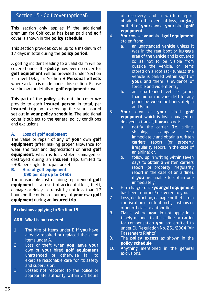# Section 15 - Golf cover (optional)

This section only applies if the additional premium for Golf cover has been paid and golf cover is shown in the **policy schedule**.

This section provides cover up to a maximum of 17 days in total during the **policy period**.

A golfing incident leading to a valid claim will be covered under the **policy** however no cover for **golf equipment** will be provided under Section 7 Travel Delay or Section 8 **Personal effects** where a claim is made under this section. Please see below for details of **golf equipment** cover.

This part of the **policy** sets out the cover **we** provide to each **insured person** in total, per **insured trip** not exceeding the sum insured set out in **your policy schedule**. The additional cover is subject to the general policy conditions and exclusions.

## **A. Loss of golf equipment**

The value or repair of any of **your** own **golf equipment** (after making proper allowance for wear and tear and depreciation) or hired **golf equipment**, which is lost, stolen, damaged or destroyed during an **insured trip**. Limited to €300 per single item, pair or set.

**B. Hire of golf equipment**  (**€90 per day up to €450**)

The reasonable cost of hiring replacement **golf equipment** as a result of accidental loss, theft, damage or delay in transit by not less than 12 hours on the outward journey, of **your** own **golf equipment** during an **insured trip**.

## **Exclusions applying to Section 15**

## **A&B What is not covered**

- 1. The hire of items under B if **you** have already repaired or replaced the same items under A.
- 2. Loss or theft when **you** leave **your** own or **your** hired **golf equipment** unattended or otherwise fail to exercise reasonable care for its safety and supervision.
- 3. Losses not reported to the police or appropriate authority within 24 hours

of discovery and a written report obtained in the event of loss, burglary or theft of **your** own or **your** hired **golf equipment**.

- 4. **Your** own or **your** hired **golf equipment** stolen from:
	- a. an unattended vehicle unless it was in the rear boot or luggage area of the vehicle and is covered so as not to be visible from outside the vehicle, or items stored on a roof rack (unless the vehicle is parked within sight of **you**), and there is evidence of forcible and violent entry;
	- b. an unattended vehicle (other than motor caravans) left for any period between the hours of 8pm and  $8$ am:
- 5. **Your** own or **your** hired **golf equipment** which is lost, damaged or delayed in transit, if **you** do not:
	- a. notify the carrier (i.e. airline, shipping company etc.) immediately and obtain a written carriers report (or property irregularity report, in the case of an airline) or,
	- b. follow up in writing within seven days to obtain a written carriers report (or property irregularity report in the case of an airline), if **you** are unable to obtain one immediately.
- 6. Hire charges once **yourgolf equipment** has been returned/ delivered to you.
- 7. Loss, destruction, damage or theft from confiscation or detention by customs or other officials or authorities.
- 8. Claims where **you** do not apply in a timely manner to the airline or carrier for compensation **you** are entitled to under EU Regulation No. 261/2004 "Air Passengers Rights".
- 9. The **policy excess** as shown in the **policy schedule**.
- 10. Anything mentioned in the general exclusions.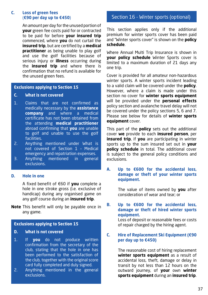## **C. Loss of green fees**  (**€90 per day up to €450**)

An amount per day for the unused portion of **your** green fee costs paid for or contracted to be paid for before **your insured trip** commenced, where **you** do not curtail the **insured trip**, but are certified by a **medical practitioner** as being unable to play golf and use the golf facilities because of serious injury or **illness** occurring during the **insured trip** and where there is confirmation that no refund is available for the unused green fees.

## **Exclusions applying to Section 15**

## **C. What is not covered**

- 1. Claims that are not confirmed as medically necessary by the **assistance company** and where a medical certificate has not been obtained from the attending **medical practitioner** abroad confirming that **you** are unable to golf and unable to use the golf facilities.
- 2. Anything mentioned under What is not covered of Section 1 – Medical emergency and repatriation expenses.
- 3. Anything mentioned in general exclusions.

## **D. Hole in one**

A fixed benefit of €60 if **you** complete a hole in one stroke gross (i.e. exclusive of handicap) during any organised game on any golf course during an **insured trip**.

**Note** This benefit will only be payable once in any game.

## **Exclusions applying to Section 15**

## **D. What is not covered**

- 1. If **you** do not produce written confirmation from the secretary of the club, stating that the hole in one has been performed to the satisfaction of the club, together with the original score card fully completed and duly signed.
- 2. Anything mentioned in the general exclusions.

# Section 16 - Winter sports (optional)

This section applies only if the additional premium for winter sports cover has been paid and "Winter sports cover" is shown on the **policy schedule**.

Where Annual Multi Trip Insurance is shown in **your policy schedule** Winter Sports cover is limited to a maximum duration of 21 days any one trip.

Cover is provided for all amateur non-hazardous winter sports. A winter sports incident leading to a valid claim will be covered under the **policy**. However, where a claim is made under this section no cover for **winter sports equipment** will be provided under the **personal effects** policy section and avalanche travel delay will not be covered under the policy sections 5, 6 and 7. Please see below for details of **winter sports equipment** cover.

This part of the **policy** sets out the additional cover **we** provide to each **insured person**, per **insured trip**, if **you** are participating in winter sports up to the sum insured set out in **your policy schedule** in total. The additional cover is subject to the general policy conditions and exclusions.

## **A. Up to €600 for the accidental loss, damage or theft of your winter sports equipment.**

The value of items owned by **you** after consideration of wear and tear; or

## **B. Up to €600 for the accidental loss, damage or theft of hired winter sports equipment.**

Loss of deposit or reasonable fees or costs of repair charged by the hiring agent.

## **C. Hire of Replacement Ski Equipment (€90 per day up to €450)**

The reasonable cost of hiring replacement **winter sports equipment** as a result of accidental loss, theft, damage or delay in transit by not less than 12 hours on the outward journey, of **your** own **winter sports equipment** during an **insured trip**.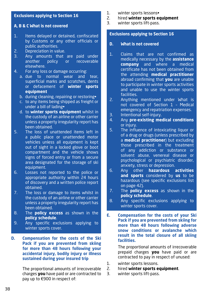## **Exclusions applying to Section 16**

## **A, B & C What is not covered**

- 1. Items delayed or detained, confiscated by Customs or any other officials or public authorities.
- 2. Depreciation in value.<br>3. Any amounts that
- Any amounts that are paid under another policy or recoverable elsewhere.
- 4. For any loss or damage occurring:
	- a. due to normal wear and tear, superficial marks and scratches, dents or defacement of **winter sports equipment**
	- b. during cleaning, repairing or restoring•
	- c. to any items being shipped as freight or under a bill of lading•
	- d. to **winter sports equipment** whilst in the custody of an airline or other carrier unless a property irregularity report has been obtained.
- 5. The loss of unattended items left in a public place or unattended motor vehicles unless all equipment is kept out of sight in a locked glove or boot compartment and the vehicle shows signs of forced entry or from a secure area designated for the storage of ski equipment.
- 6. Losses not reported to the police or appropriate authority within 24 hours of discovery and a written police report obtained.
- 7. The loss or damage to items whilst in the custody of an airline or other carrier unless a property irregularity report has been obtained.
- 8. The **policy excess** as shown in the **policy schedule**.
- 9. Any specific exclusions applying to winter sports cover.
- **D. Compensation for the costs of the Ski Pack if you are prevented from skiing for more than 48 hours following your accidental injury, bodily injury or illness sustained during your insured trip**

The proportional amounts of irrecoverable charges **you** have paid or are contracted to pay up to €900 in respect of:

- 1. winter sports lessons•
- 2. hired **winter sports equipment**
- winter sports lift-pass.

## **Exclusions applying to Section 16**

- **D. What is not covered**
- 1. Claims that are not confirmed as medically necessary by the **assistance company** and where a medical certificate has not been obtained from the attending **medical practitioner** abroad confirming that **you** are unable to participate in winter sports activities and unable to use the winter sports facilities.
- 2. Anything mentioned under What is not covered of Section 1 – Medical emergency and repatriation expenses.
- 3. Intentional self-injury.
- 4. Any **pre-existing medical conditions** or injury.
- 5. The influence of intoxicating liquor or of a drug or drugs (unless prescribed by a **medical practitioner**) but excluding those prescribed in the treatment of any addiction or substance or solvent abuse, venereal disease or psychological or psychiatric disorder, anxiety, stress or depression.
- 6. Any other **hazardous activities and sports** considered by **us** to be hazardous (see specific exclusions list on page 42).
- 7. The **policy excess** as shown in the **policy schedule**.
- 8. Any specific exclusions applying to winter sports cover.
- **E. Compensation for the costs of your Ski Pack if you are prevented from skiing for more than 48 hours following adverse snow conditions or avalanche which result in the total closure of all skiing facilities.**

The proportional amounts of irrecoverable prepaid charges **you** have paid or are contracted to pay in respect of unused:

- 1. winter sports lessons.
- 2. hired **winter sports equipment**.
- 3. winter sports lift-pass.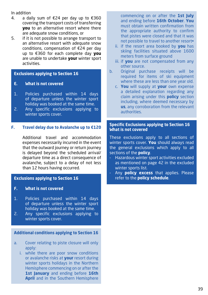In addition

- 4. a daily sum of €24 per day up to €360 covering the transport costs of transferring **you** to an alternative resort where there are adequate snow conditions, or
- 5. if it is not possible to arrange transport to an alternative resort with adequate snow conditions, compensation of €24 per day up to €360 for each complete day **you** are unable to undertake **your** winter sport activities.

## **Exclusions applying to Section 16**

- **E. What is not covered**
- 1. Policies purchased within 14 days of departure unless the winter sport holiday was booked at the same time.
- 2. Any specific exclusions applying to winter sports cover.

## **F. Travel delay due to Avalanche up to €120**

Additional travel and accommodation expenses necessarily incurred in the event that the outward journey or return journey is delayed beyond the scheduled arrival/ departure time as a direct consequence of avalanche, subject to a delay of not less than 12 hours having occurred.

## **Exclusions applying to Section 16**

- **F. What is not covered**
- 1. Policies purchased within 14 days of departure unless the winter sport holiday was booked at the same time.
- 2. Any specific exclusions applying to winter sports cover.

## **Additional conditions applying to Section 16**

- a. Cover relating to piste closure will only apply:
	- i. while there are poor snow conditions or avalanche risks at **your** resort during winter sports holidays in the Northern Hemisphere commencing on or after the **1st January** and ending before **16th April** and in the Southern Hemisphere

commencing on or after the **1st July** and ending before **16th October**. **You** must obtain written confirmation from the appropriate authority to confirm that pistes were closed and that it was not possible to travel to another resort•

- ii. if the resort area booked by **you** has skiing facilities situated above 1600 meters from surface ground
- iii. if **you** are not compensated from any other source.
- b. Original purchase receipts will be required for items of ski equipment where these are less than one year old.
	- c. **You** will supply at **your** own expense a detailed explanation regarding any claim arising under this **policy** section including, where deemed necessary by **us**, any corroboration from the relevant authorities.

## **Specific Exclusions applying to Section 16 What is not covered**

These exclusions apply to all sections of winter sports cover. **You** should always read the general exclusions which apply to all sections of the **policy**.

- Hazardous winter sport activities excluded as mentioned on page 42 in the excluded winter sports list.
- Any **policy excess** that applies. Please refer to the **policy schedule**.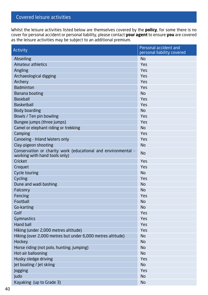# Covered leisure activities

Whilst the leisure activities listed below are themselves covered by the **policy**, for some there is no cover for personal accident or personal liability, please contact **your agent** to ensure **you** are covered as the leisure activities may be subject to an additional premium.

| Activity                                                                                       | Personal accident and<br>personal liability covered |
|------------------------------------------------------------------------------------------------|-----------------------------------------------------|
| Abseiling                                                                                      | N <sub>o</sub>                                      |
| <b>Amateur athletics</b>                                                                       | Yes                                                 |
| Angling                                                                                        | Yes                                                 |
| Archaeological digging                                                                         | Yes                                                 |
| Archery                                                                                        | Yes                                                 |
| <b>Badminton</b>                                                                               | Yes                                                 |
| Banana boating                                                                                 | No.                                                 |
| <b>Baseball</b>                                                                                | Yes                                                 |
| <b>Basketball</b>                                                                              | Yes                                                 |
| Body boarding                                                                                  | No                                                  |
| Bowls / Ten pin bowling                                                                        | Yes                                                 |
| Bungee jumps (three jumps)                                                                     | Yes                                                 |
| Camel or elephant riding or trekking                                                           | No                                                  |
| Camping                                                                                        | Yes                                                 |
| Canoeing - Inland Waters only                                                                  | Yes                                                 |
| Clay-pigeon shooting                                                                           | No                                                  |
| Conservation or charity work (educational and environmental -<br>working with hand tools only) | No                                                  |
| Cricket                                                                                        | Yes                                                 |
| Croquet                                                                                        | Yes                                                 |
| Cycle touring                                                                                  | No                                                  |
| Cycling                                                                                        | Yes                                                 |
| Dune and wadi bashing                                                                          | No                                                  |
| Falconry                                                                                       | No                                                  |
| Fencing                                                                                        | Yes                                                 |
| Football                                                                                       | No                                                  |
| Go-karting                                                                                     | No                                                  |
| Golf                                                                                           | Yes                                                 |
| <b>Gymnastics</b>                                                                              | Yes                                                 |
| <b>Hand ball</b>                                                                               | Yes                                                 |
| Hiking (under 2,000 metres altitude)                                                           | Yes                                                 |
| Hiking (over 2,000 metres but under 6,000 metres altitude)                                     | No                                                  |
| Hockey                                                                                         | No                                                  |
| Horse riding (not polo, hunting, jumping)                                                      | No                                                  |
| Hot-air ballooning                                                                             | No                                                  |
| Husky sledge driving                                                                           | Yes                                                 |
| Jet boating / Jet skiing                                                                       | No                                                  |
| Jogging                                                                                        | Yes                                                 |
| <b>Judo</b>                                                                                    | No                                                  |
| Kayaking (up to Grade 3)                                                                       | No                                                  |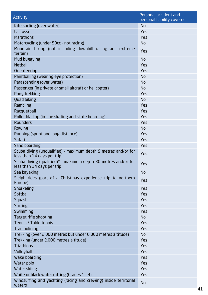| <b>Activity</b>                                                                              | Personal accident and<br>personal liability covered |
|----------------------------------------------------------------------------------------------|-----------------------------------------------------|
| Kite surfing (over water)                                                                    | <b>No</b>                                           |
| Lacrosse                                                                                     | Yes                                                 |
| <b>Marathons</b>                                                                             | Yes                                                 |
| Motorcycling (under 50cc - not racing)                                                       | <b>No</b>                                           |
| Mountain biking (not including downhill racing and extreme<br>terrain)                       | Yes                                                 |
| Mud buggying                                                                                 | No                                                  |
| <b>Netball</b>                                                                               | Yes                                                 |
| Orienteering                                                                                 | Yes                                                 |
| Paintballing (wearing eye protection)                                                        | No                                                  |
| Parascending (over water)                                                                    | No                                                  |
| Passenger (in private or small aircraft or helicopter)                                       | No                                                  |
| Pony trekking                                                                                | Yes                                                 |
| Quad biking                                                                                  | No.                                                 |
| Rambling                                                                                     | Yes                                                 |
| Racquetball                                                                                  | Yes                                                 |
| Roller blading (in-line skating and skate boarding)                                          | Yes                                                 |
| Rounders                                                                                     | Yes                                                 |
| Rowing                                                                                       | No.                                                 |
| Running (sprint and long distance)                                                           | Yes                                                 |
| Safari                                                                                       | Yes                                                 |
| Sand boarding                                                                                | Yes                                                 |
| Scuba diving (unqualified) - maximum depth 9 metres and/or for<br>less than 14 days per trip | Yes                                                 |
| Scuba diving (qualified)* - maximum depth 30 metres and/or for<br>less than 14 days per trip | Yes                                                 |
| Sea kayaking                                                                                 | No.                                                 |
| Sleigh rides (part of a Christmas experience trip to northern<br>Europe)                     | Yes                                                 |
| Snorkeling                                                                                   | Yes                                                 |
| Softball                                                                                     | Yes                                                 |
| Squash                                                                                       | Yes                                                 |
| Surfing                                                                                      | Yes                                                 |
| Swimming                                                                                     | Yes                                                 |
| Target rifle shooting                                                                        | No.                                                 |
| Tennis / Table tennis                                                                        | Yes                                                 |
| Trampolining                                                                                 | Yes                                                 |
| Trekking (over 2,000 metres but under 6,000 metres altitude)                                 | $\operatorname{\mathsf{No}}$                        |
| Trekking (under 2,000 metres altitude)                                                       | Yes                                                 |
| <b>Triathlons</b>                                                                            | Yes                                                 |
| Volleyball                                                                                   | Yes                                                 |
| Wake boarding                                                                                | Yes                                                 |
| Water polo                                                                                   | Yes                                                 |
| Water skiing                                                                                 | Yes                                                 |
| White or black water rafting (Grades $1 - 4$ )                                               | Yes                                                 |
| Windsurfing and yachting (racing and crewing) inside territorial<br>waters                   | No                                                  |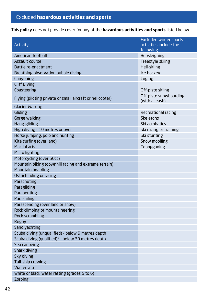# Excluded **hazardous activities and sports**

This **policy** does not provide cover for any of the **hazardous activities and sports** listed below.

|                                                           | <b>Excluded winter sports</b>    |
|-----------------------------------------------------------|----------------------------------|
| Activity                                                  | activities include the           |
| American football                                         | following<br><b>Bobsleighing</b> |
| Assault course                                            | Freestyle skiing                 |
| Battle re-enactment                                       |                                  |
|                                                           | Heli-skiing                      |
| Breathing observation bubble diving<br>Canyoning          | Ice hockey                       |
| <b>Cliff Diving</b>                                       | Luging                           |
| Coasteering                                               | Off-piste skiing                 |
|                                                           | Off-piste snowboarding           |
| Flying (piloting private or small aircraft or helicopter) | (with a leash)                   |
| Glacier Walking                                           |                                  |
| Gliding                                                   | Recreational racing              |
| Gorge walking                                             | <b>Skeletons</b>                 |
| Hang-gliding                                              | Ski acrobatics                   |
| High diving - 10 metres or over                           | Ski racing or training           |
| Horse jumping, polo and hunting                           | Ski stunting                     |
| Kite surfing (over land)                                  | Snow mobiling                    |
| <b>Martial arts</b>                                       | Tobogganing                      |
| Micro lighting                                            |                                  |
| Motorcycling (over 50cc)                                  |                                  |
| Mountain biking (downhill racing and extreme terrain)     |                                  |
| Mountain boarding                                         |                                  |
| Ostrich riding or racing                                  |                                  |
| Parachuting                                               |                                  |
| Paragliding                                               |                                  |
| Parapenting                                               |                                  |
| Parasailing                                               |                                  |
| Parascending (over land or snow)                          |                                  |
| Rock climbing or mountaineering                           |                                  |
| Rock scrambling                                           |                                  |
| Rugby                                                     |                                  |
| Sand yachting                                             |                                  |
| Scuba diving (unqualified) - below 9 metres depth         |                                  |
| Scuba diving (qualified)* - below 30 metres depth         |                                  |
| Sea canoeing                                              |                                  |
| Shark diving                                              |                                  |
| Sky diving                                                |                                  |
| Tall-ship crewing                                         |                                  |
| Via ferrata                                               |                                  |
| White or black water rafting (grades 5 to 6)              |                                  |
| Zorbing                                                   |                                  |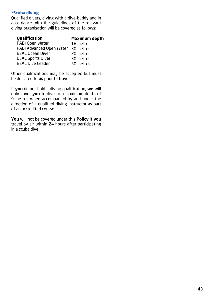## **\*Scuba diving**

Qualified divers, diving with a dive-buddy and in accordance with the guidelines of the relevant diving organisation will be covered as follows:

| <b>Qualification</b>     | <b>Maximum depth</b> |
|--------------------------|----------------------|
| PADI Open Water          | 18 metres            |
| PADI Advanced Open Water | 30 metres            |
| <b>BSAC Ocean Diver</b>  | 20 metres            |
| <b>BSAC Sports Diver</b> | 30 metres            |
| <b>BSAC Dive Leader</b>  | 30 metres            |
|                          |                      |

Other qualifications may be accepted but must be declared to **us** prior to travel.

If **you** do not hold a diving qualification, **we** will only cover **you** to dive to a maximum depth of 9 metres when accompanied by and under the direction of a qualified diving instructor as part of an accredited course.

**You** will not be covered under this **Policy** if **you** travel by air within 24 hours after participating in a scuba dive.